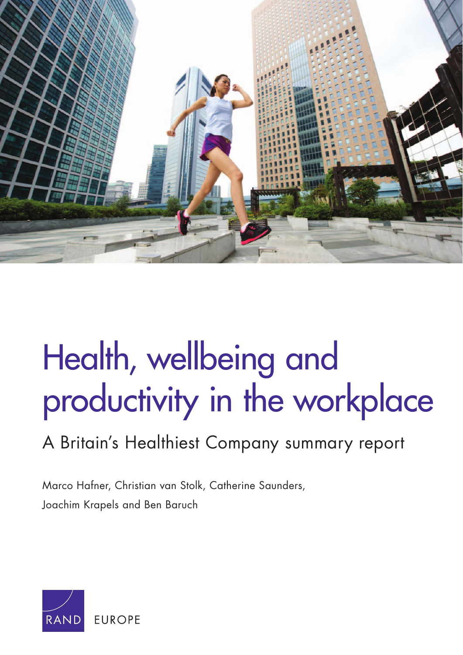

# Health, wellbeing and [productivity in the workplace](http://www.rand.org/pubs/research_reports/RR1084.html)

# A Britain's Healthiest Company summary report

Marco Hafner, Christian van Stolk, Catherine Saunders, Joachim Krapels and Ben Baruch

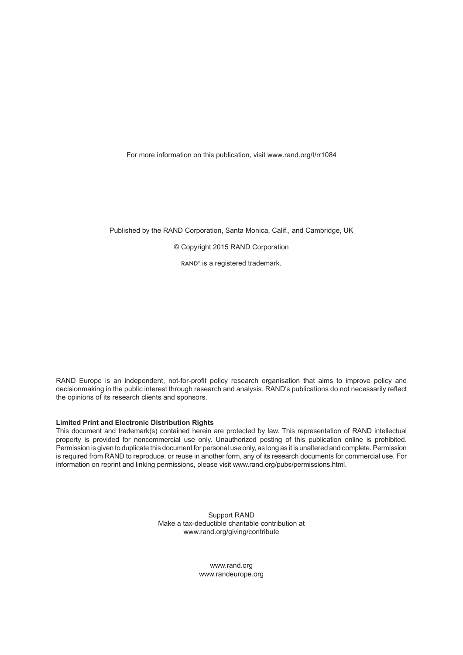For more information on this publication, visit [www.rand.org/t/rr10](http://www.rand.org/t/rr1084)84

Published by the RAND Corporation, Santa Monica, Calif., and Cambridge, UK

© Copyright 2015 RAND Corporation

RAND<sup>®</sup> is a registered trademark.

RAND Europe is an independent, not-for-profit policy research organisation that aims to improve policy and decisionmaking in the public interest through research and analysis. RAND's publications do not necessarily reflect the opinions of its research clients and sponsors.

#### **Limited Print and Electronic Distribution Rights**

This document and trademark(s) contained herein are protected by law. This representation of RAND intellectual property is provided for noncommercial use only. Unauthorized posting of this publication online is prohibited. Permission is given to duplicate this document for personal use only, as long as it is unaltered and complete. Permission is required from RAND to reproduce, or reuse in another form, any of its research documents for commercial use. For information on reprint and linking permissions, please visit [www.rand.org/pubs/permissions.html.](http://www.rand.org/pubs/permissions.html)

> Support RAND Make a tax-deductible charitable contribution at [www.rand.org/giving/contribute](http://www.rand.org/giving/contribute)

> > [www.rand.org](http://www.rand.org) [www.randeurope.org](http://www.randeurope.org)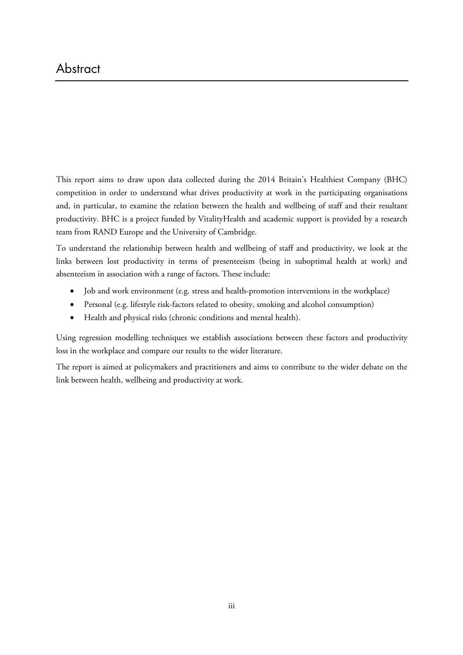This report aims to draw upon data collected during the 2014 Britain's Healthiest Company (BHC) competition in order to understand what drives productivity at work in the participating organisations and, in particular, to examine the relation between the health and wellbeing of staff and their resultant productivity. BHC is a project funded by VitalityHealth and academic support is provided by a research team from RAND Europe and the University of Cambridge.

To understand the relationship between health and wellbeing of staff and productivity, we look at the links between lost productivity in terms of presenteeism (being in suboptimal health at work) and absenteeism in association with a range of factors. These include:

- Job and work environment (e.g. stress and health-promotion interventions in the workplace)
- Personal (e.g. lifestyle risk-factors related to obesity, smoking and alcohol consumption)
- Health and physical risks (chronic conditions and mental health).

Using regression modelling techniques we establish associations between these factors and productivity loss in the workplace and compare our results to the wider literature.

The report is aimed at policymakers and practitioners and aims to contribute to the wider debate on the link between health, wellbeing and productivity at work.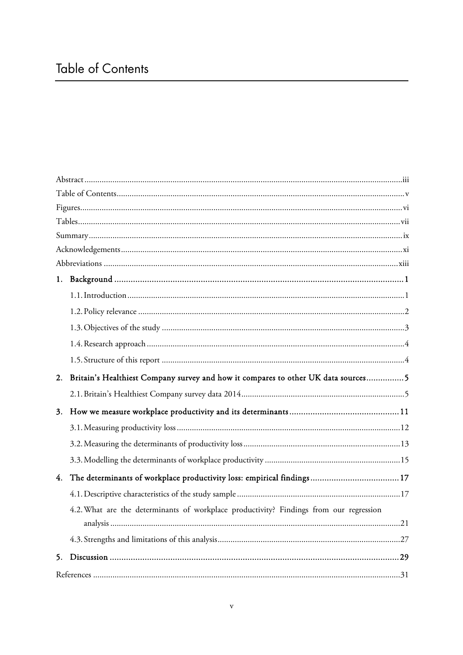| Britain's Healthiest Company survey and how it compares to other UK data sources5<br>2. |  |
|-----------------------------------------------------------------------------------------|--|
|                                                                                         |  |
| 3.                                                                                      |  |
|                                                                                         |  |
|                                                                                         |  |
|                                                                                         |  |
| 4.                                                                                      |  |
|                                                                                         |  |
|                                                                                         |  |
| 4.2. What are the determinants of workplace productivity? Findings from our regression  |  |
|                                                                                         |  |
| 5.                                                                                      |  |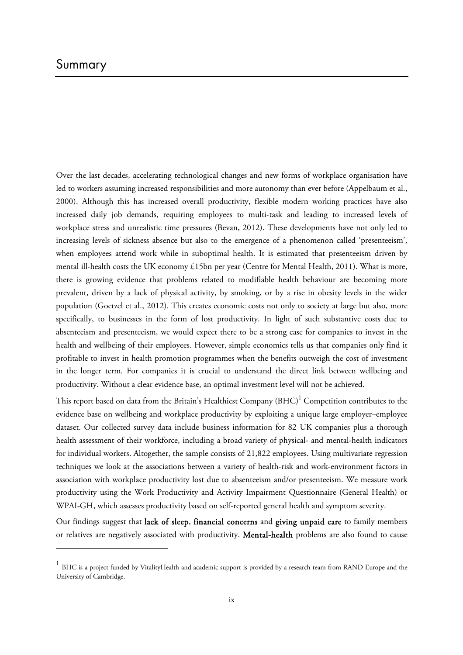1

Over the last decades, accelerating technological changes and new forms of workplace organisation have led to workers assuming increased responsibilities and more autonomy than ever before (Appelbaum et al., 2000). Although this has increased overall productivity, flexible modern working practices have also increased daily job demands, requiring employees to multi-task and leading to increased levels of workplace stress and unrealistic time pressures (Bevan, 2012). These developments have not only led to increasing levels of sickness absence but also to the emergence of a phenomenon called 'presenteeism', when employees attend work while in suboptimal health. It is estimated that presenteeism driven by mental ill-health costs the UK economy £15bn per year (Centre for Mental Health, 2011). What is more, there is growing evidence that problems related to modifiable health behaviour are becoming more prevalent, driven by a lack of physical activity, by smoking, or by a rise in obesity levels in the wider population (Goetzel et al., 2012). This creates economic costs not only to society at large but also, more specifically, to businesses in the form of lost productivity. In light of such substantive costs due to absenteeism and presenteeism, we would expect there to be a strong case for companies to invest in the health and wellbeing of their employees. However, simple economics tells us that companies only find it profitable to invest in health promotion programmes when the benefits outweigh the cost of investment in the longer term. For companies it is crucial to understand the direct link between wellbeing and productivity. Without a clear evidence base, an optimal investment level will not be achieved.

This report based on data from the Britain's Healthiest Company (BHC) $^{\rm l}$  Competition contributes to the evidence base on wellbeing and workplace productivity by exploiting a unique large employer–employee dataset. Our collected survey data include business information for 82 UK companies plus a thorough health assessment of their workforce, including a broad variety of physical- and mental-health indicators for individual workers. Altogether, the sample consists of 21,822 employees. Using multivariate regression techniques we look at the associations between a variety of health-risk and work-environment factors in association with workplace productivity lost due to absenteeism and/or presenteeism. We measure work productivity using the Work Productivity and Activity Impairment Questionnaire (General Health) or WPAI-GH, which assesses productivity based on self-reported general health and symptom severity.

Our findings suggest that lack of sleep, financial concerns and giving unpaid care to family members or relatives are negatively associated with productivity. Mental-health problems are also found to cause

 $1$  BHC is a project funded by VitalityHealth and academic support is provided by a research team from RAND Europe and the University of Cambridge.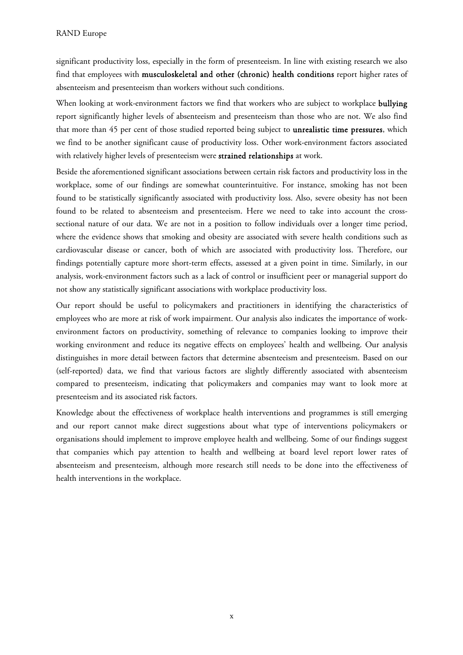significant productivity loss, especially in the form of presenteeism. In line with existing research we also find that employees with musculoskeletal and other (chronic) health conditions report higher rates of absenteeism and presenteeism than workers without such conditions.

When looking at work-environment factors we find that workers who are subject to workplace **bullying** report significantly higher levels of absenteeism and presenteeism than those who are not. We also find that more than 45 per cent of those studied reported being subject to unrealistic time pressures, which we find to be another significant cause of productivity loss. Other work-environment factors associated with relatively higher levels of presenteeism were strained relationships at work.

Beside the aforementioned significant associations between certain risk factors and productivity loss in the workplace, some of our findings are somewhat counterintuitive. For instance, smoking has not been found to be statistically significantly associated with productivity loss. Also, severe obesity has not been found to be related to absenteeism and presenteeism. Here we need to take into account the crosssectional nature of our data. We are not in a position to follow individuals over a longer time period, where the evidence shows that smoking and obesity are associated with severe health conditions such as cardiovascular disease or cancer, both of which are associated with productivity loss. Therefore, our findings potentially capture more short-term effects, assessed at a given point in time. Similarly, in our analysis, work-environment factors such as a lack of control or insufficient peer or managerial support do not show any statistically significant associations with workplace productivity loss.

Our report should be useful to policymakers and practitioners in identifying the characteristics of employees who are more at risk of work impairment. Our analysis also indicates the importance of workenvironment factors on productivity, something of relevance to companies looking to improve their working environment and reduce its negative effects on employees' health and wellbeing. Our analysis distinguishes in more detail between factors that determine absenteeism and presenteeism. Based on our (self-reported) data, we find that various factors are slightly differently associated with absenteeism compared to presenteeism, indicating that policymakers and companies may want to look more at presenteeism and its associated risk factors.

Knowledge about the effectiveness of workplace health interventions and programmes is still emerging and our report cannot make direct suggestions about what type of interventions policymakers or organisations should implement to improve employee health and wellbeing. Some of our findings suggest that companies which pay attention to health and wellbeing at board level report lower rates of absenteeism and presenteeism, although more research still needs to be done into the effectiveness of health interventions in the workplace.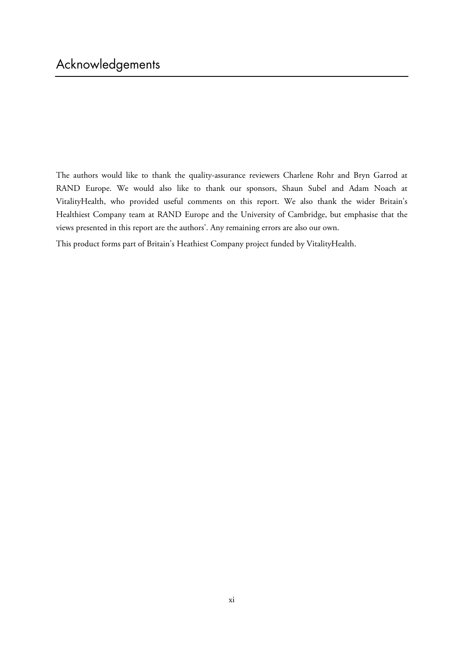The authors would like to thank the quality-assurance reviewers Charlene Rohr and Bryn Garrod at RAND Europe. We would also like to thank our sponsors, Shaun Subel and Adam Noach at VitalityHealth, who provided useful comments on this report. We also thank the wider Britain's Healthiest Company team at RAND Europe and the University of Cambridge, but emphasise that the views presented in this report are the authors'. Any remaining errors are also our own.

This product forms part of Britain's Heathiest Company project funded by VitalityHealth.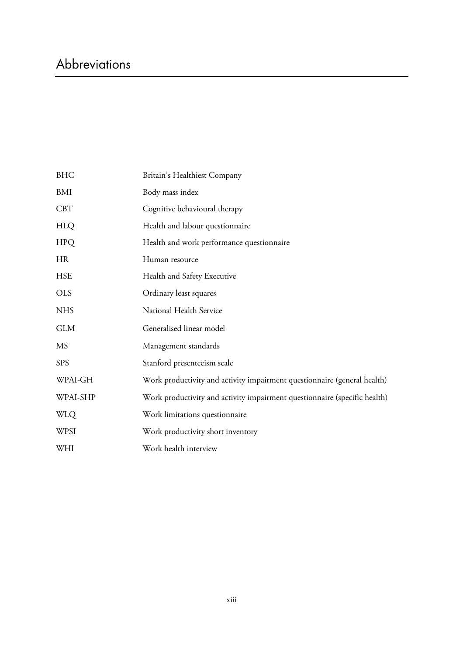# Abbreviations

| <b>BHC</b> | Britain's Healthiest Company                                              |
|------------|---------------------------------------------------------------------------|
| BMI        | Body mass index                                                           |
| <b>CBT</b> | Cognitive behavioural therapy                                             |
| <b>HLQ</b> | Health and labour questionnaire                                           |
| <b>HPQ</b> | Health and work performance questionnaire                                 |
| <b>HR</b>  | Human resource                                                            |
| <b>HSE</b> | Health and Safety Executive                                               |
| <b>OLS</b> | Ordinary least squares                                                    |
| <b>NHS</b> | National Health Service                                                   |
| <b>GLM</b> | Generalised linear model                                                  |
| <b>MS</b>  | Management standards                                                      |
| <b>SPS</b> | Stanford presenteeism scale                                               |
| WPAI-GH    | Work productivity and activity impairment questionnaire (general health)  |
| WPAI-SHP   | Work productivity and activity impairment questionnaire (specific health) |
| <b>WLQ</b> | Work limitations questionnaire                                            |
| WPSI       | Work productivity short inventory                                         |
| WHI        | Work health interview                                                     |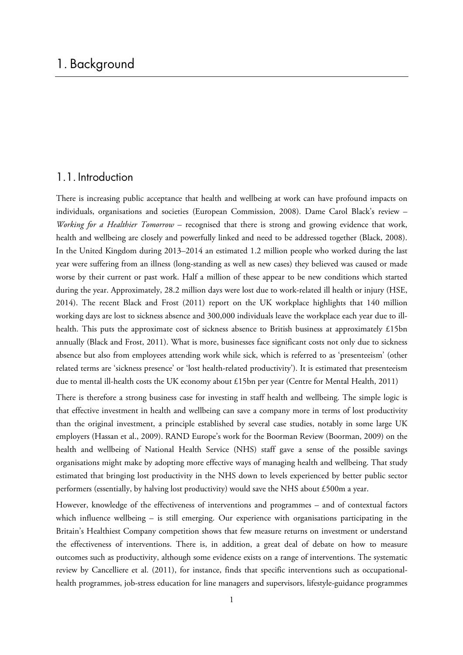### 1.1. Introduction

There is increasing public acceptance that health and wellbeing at work can have profound impacts on individuals, organisations and societies (European Commission, 2008). Dame Carol Black's review – *Working for a Healthier Tomorrow* – recognised that there is strong and growing evidence that work, health and wellbeing are closely and powerfully linked and need to be addressed together (Black, 2008). In the United Kingdom during 2013–2014 an estimated 1.2 million people who worked during the last year were suffering from an illness (long-standing as well as new cases) they believed was caused or made worse by their current or past work. Half a million of these appear to be new conditions which started during the year. Approximately, 28.2 million days were lost due to work-related ill health or injury (HSE, 2014). The recent Black and Frost (2011) report on the UK workplace highlights that 140 million working days are lost to sickness absence and 300,000 individuals leave the workplace each year due to illhealth. This puts the approximate cost of sickness absence to British business at approximately £15bn annually (Black and Frost, 2011). What is more, businesses face significant costs not only due to sickness absence but also from employees attending work while sick, which is referred to as 'presenteeism' (other related terms are 'sickness presence' or 'lost health-related productivity'). It is estimated that presenteeism due to mental ill-health costs the UK economy about £15bn per year (Centre for Mental Health, 2011)

There is therefore a strong business case for investing in staff health and wellbeing. The simple logic is that effective investment in health and wellbeing can save a company more in terms of lost productivity than the original investment, a principle established by several case studies, notably in some large UK employers (Hassan et al., 2009). RAND Europe's work for the Boorman Review (Boorman, 2009) on the health and wellbeing of National Health Service (NHS) staff gave a sense of the possible savings organisations might make by adopting more effective ways of managing health and wellbeing. That study estimated that bringing lost productivity in the NHS down to levels experienced by better public sector performers (essentially, by halving lost productivity) would save the NHS about £500m a year.

However, knowledge of the effectiveness of interventions and programmes – and of contextual factors which influence wellbeing – is still emerging. Our experience with organisations participating in the Britain's Healthiest Company competition shows that few measure returns on investment or understand the effectiveness of interventions. There is, in addition, a great deal of debate on how to measure outcomes such as productivity, although some evidence exists on a range of interventions. The systematic review by Cancelliere et al. (2011), for instance, finds that specific interventions such as occupationalhealth programmes, job-stress education for line managers and supervisors, lifestyle-guidance programmes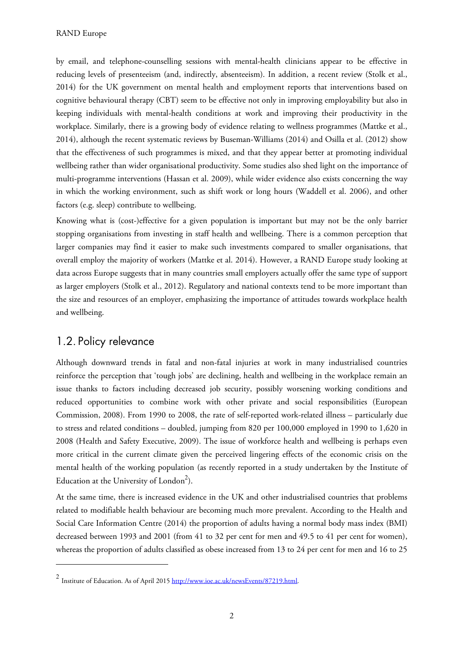by email, and telephone-counselling sessions with mental-health clinicians appear to be effective in reducing levels of presenteeism (and, indirectly, absenteeism). In addition, a recent review (Stolk et al., 2014) for the UK government on mental health and employment reports that interventions based on cognitive behavioural therapy (CBT) seem to be effective not only in improving employability but also in keeping individuals with mental-health conditions at work and improving their productivity in the workplace. Similarly, there is a growing body of evidence relating to wellness programmes (Mattke et al., 2014), although the recent systematic reviews by Buseman-Williams (2014) and Osilla et al. (2012) show that the effectiveness of such programmes is mixed, and that they appear better at promoting individual wellbeing rather than wider organisational productivity. Some studies also shed light on the importance of multi-programme interventions (Hassan et al. 2009), while wider evidence also exists concerning the way in which the working environment, such as shift work or long hours (Waddell et al. 2006), and other factors (e.g. sleep) contribute to wellbeing.

Knowing what is (cost-)effective for a given population is important but may not be the only barrier stopping organisations from investing in staff health and wellbeing. There is a common perception that larger companies may find it easier to make such investments compared to smaller organisations, that overall employ the majority of workers (Mattke et al. 2014). However, a RAND Europe study looking at data across Europe suggests that in many countries small employers actually offer the same type of support as larger employers (Stolk et al., 2012). Regulatory and national contexts tend to be more important than the size and resources of an employer, emphasizing the importance of attitudes towards workplace health and wellbeing.

## 1.2. Policy relevance

-

Although downward trends in fatal and non-fatal injuries at work in many industrialised countries reinforce the perception that 'tough jobs' are declining, health and wellbeing in the workplace remain an issue thanks to factors including decreased job security, possibly worsening working conditions and reduced opportunities to combine work with other private and social responsibilities (European Commission, 2008). From 1990 to 2008, the rate of self-reported work-related illness – particularly due to stress and related conditions – doubled, jumping from 820 per 100,000 employed in 1990 to 1,620 in 2008 (Health and Safety Executive, 2009). The issue of workforce health and wellbeing is perhaps even more critical in the current climate given the perceived lingering effects of the economic crisis on the mental health of the working population (as recently reported in a study undertaken by the Institute of Education at the University of London<sup>2</sup>).

At the same time, there is increased evidence in the UK and other industrialised countries that problems related to modifiable health behaviour are becoming much more prevalent. According to the Health and Social Care Information Centre (2014) the proportion of adults having a normal body mass index (BMI) decreased between 1993 and 2001 (from 41 to 32 per cent for men and 49.5 to 41 per cent for women), whereas the proportion of adults classified as obese increased from 13 to 24 per cent for men and 16 to 25

<sup>2</sup> Institute of Education. As of April 2015 [http://www.ioe.ac.uk/newsEvents/87219.html.](http://www.ioe.ac.uk/newsEvents/87219.html)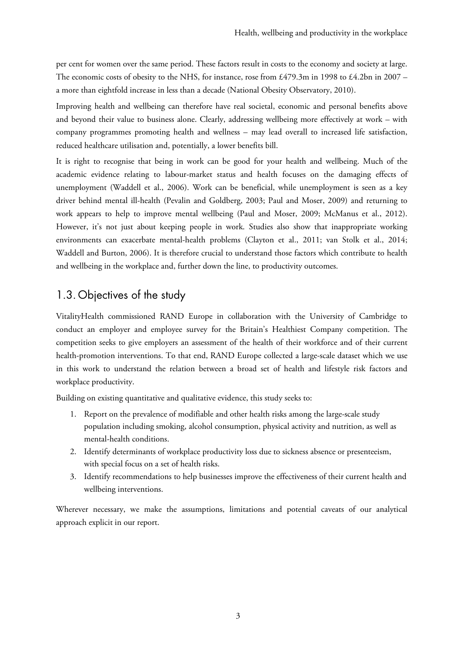per cent for women over the same period. These factors result in costs to the economy and society at large. The economic costs of obesity to the NHS, for instance, rose from £479.3m in 1998 to £4.2bn in 2007 – a more than eightfold increase in less than a decade (National Obesity Observatory, 2010).

Improving health and wellbeing can therefore have real societal, economic and personal benefits above and beyond their value to business alone. Clearly, addressing wellbeing more effectively at work – with company programmes promoting health and wellness – may lead overall to increased life satisfaction, reduced healthcare utilisation and, potentially, a lower benefits bill.

It is right to recognise that being in work can be good for your health and wellbeing. Much of the academic evidence relating to labour-market status and health focuses on the damaging effects of unemployment (Waddell et al., 2006). Work can be beneficial, while unemployment is seen as a key driver behind mental ill-health (Pevalin and Goldberg, 2003; Paul and Moser, 2009) and returning to work appears to help to improve mental wellbeing (Paul and Moser, 2009; McManus et al., 2012). However, it's not just about keeping people in work. Studies also show that inappropriate working environments can exacerbate mental-health problems (Clayton et al., 2011; van Stolk et al., 2014; Waddell and Burton, 2006). It is therefore crucial to understand those factors which contribute to health and wellbeing in the workplace and, further down the line, to productivity outcomes.

# 1.3. Objectives of the study

VitalityHealth commissioned RAND Europe in collaboration with the University of Cambridge to conduct an employer and employee survey for the Britain's Healthiest Company competition. The competition seeks to give employers an assessment of the health of their workforce and of their current health-promotion interventions. To that end, RAND Europe collected a large-scale dataset which we use in this work to understand the relation between a broad set of health and lifestyle risk factors and workplace productivity.

Building on existing quantitative and qualitative evidence, this study seeks to:

- 1. Report on the prevalence of modifiable and other health risks among the large-scale study population including smoking, alcohol consumption, physical activity and nutrition, as well as mental-health conditions.
- 2. Identify determinants of workplace productivity loss due to sickness absence or presenteeism, with special focus on a set of health risks.
- 3. Identify recommendations to help businesses improve the effectiveness of their current health and wellbeing interventions.

Wherever necessary, we make the assumptions, limitations and potential caveats of our analytical approach explicit in our report.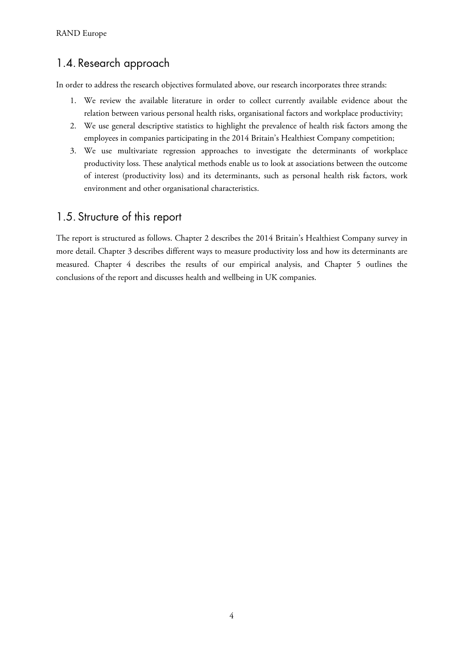# 1.4. Research approach

In order to address the research objectives formulated above, our research incorporates three strands:

- 1. We review the available literature in order to collect currently available evidence about the relation between various personal health risks, organisational factors and workplace productivity;
- 2. We use general descriptive statistics to highlight the prevalence of health risk factors among the employees in companies participating in the 2014 Britain's Healthiest Company competition;
- 3. We use multivariate regression approaches to investigate the determinants of workplace productivity loss. These analytical methods enable us to look at associations between the outcome of interest (productivity loss) and its determinants, such as personal health risk factors, work environment and other organisational characteristics.

# 1.5. Structure of this report

The report is structured as follows. Chapter 2 describes the 2014 Britain's Healthiest Company survey in more detail. Chapter 3 describes different ways to measure productivity loss and how its determinants are measured. Chapter 4 describes the results of our empirical analysis, and Chapter 5 outlines the conclusions of the report and discusses health and wellbeing in UK companies.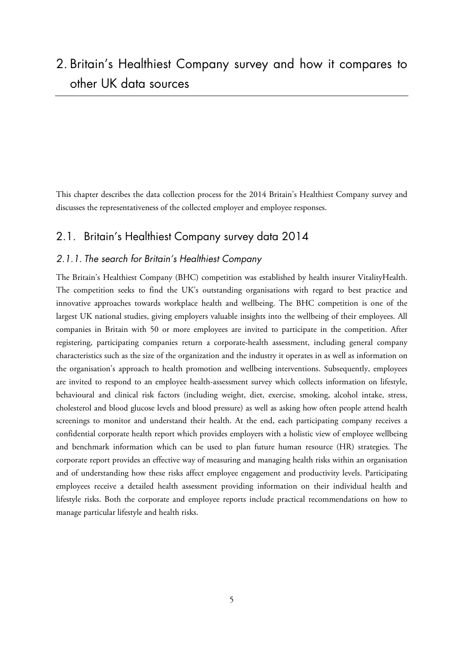# 2. Britain's Healthiest Company survey and how it compares to other UK data sources

This chapter describes the data collection process for the 2014 Britain's Healthiest Company survey and discusses the representativeness of the collected employer and employee responses.

# 2.1. Britain's Healthiest Company survey data 2014

### 2.1.1. The search for Britain's Healthiest Company

The Britain's Healthiest Company (BHC) competition was established by health insurer VitalityHealth. The competition seeks to find the UK's outstanding organisations with regard to best practice and innovative approaches towards workplace health and wellbeing. The BHC competition is one of the largest UK national studies, giving employers valuable insights into the wellbeing of their employees. All companies in Britain with 50 or more employees are invited to participate in the competition. After registering, participating companies return a corporate-health assessment, including general company characteristics such as the size of the organization and the industry it operates in as well as information on the organisation's approach to health promotion and wellbeing interventions. Subsequently, employees are invited to respond to an employee health-assessment survey which collects information on lifestyle, behavioural and clinical risk factors (including weight, diet, exercise, smoking, alcohol intake, stress, cholesterol and blood glucose levels and blood pressure) as well as asking how often people attend health screenings to monitor and understand their health. At the end, each participating company receives a confidential corporate health report which provides employers with a holistic view of employee wellbeing and benchmark information which can be used to plan future human resource (HR) strategies. The corporate report provides an effective way of measuring and managing health risks within an organisation and of understanding how these risks affect employee engagement and productivity levels. Participating employees receive a detailed health assessment providing information on their individual health and lifestyle risks. Both the corporate and employee reports include practical recommendations on how to manage particular lifestyle and health risks.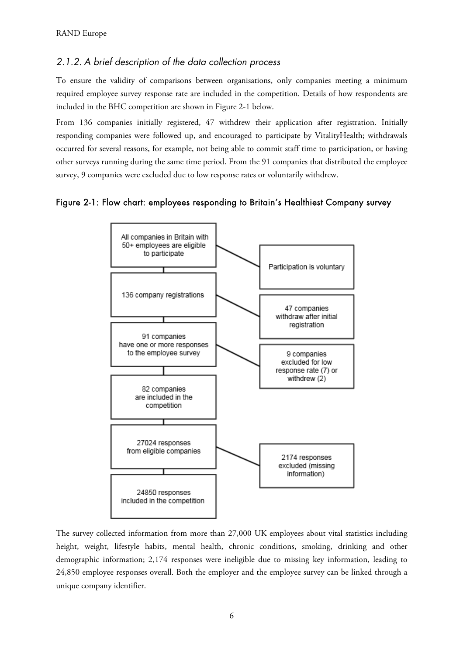### 2.1.2. A brief description of the data collection process

To ensure the validity of comparisons between organisations, only companies meeting a minimum required employee survey response rate are included in the competition. Details of how respondents are included in the BHC competition are shown in Figure 2-1 below.

From 136 companies initially registered, 47 withdrew their application after registration. Initially responding companies were followed up, and encouraged to participate by VitalityHealth; withdrawals occurred for several reasons, for example, not being able to commit staff time to participation, or having other surveys running during the same time period. From the 91 companies that distributed the employee survey, 9 companies were excluded due to low response rates or voluntarily withdrew.

Figure 2-1: Flow chart: employees responding to Britain's Healthiest Company survey



The survey collected information from more than 27,000 UK employees about vital statistics including height, weight, lifestyle habits, mental health, chronic conditions, smoking, drinking and other demographic information; 2,174 responses were ineligible due to missing key information, leading to 24,850 employee responses overall. Both the employer and the employee survey can be linked through a unique company identifier.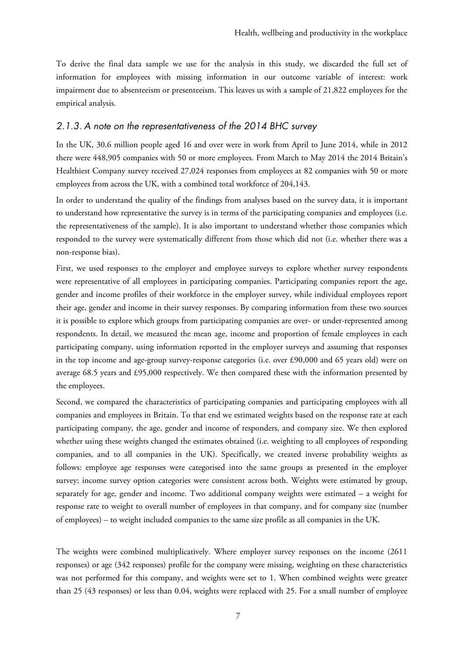To derive the final data sample we use for the analysis in this study, we discarded the full set of information for employees with missing information in our outcome variable of interest: work impairment due to absenteeism or presenteeism. This leaves us with a sample of 21,822 employees for the empirical analysis.

### 2.1.3. A note on the representativeness of the 2014 BHC survey

In the UK, 30.6 million people aged 16 and over were in work from April to June 2014, while in 2012 there were 448,905 companies with 50 or more employees. From March to May 2014 the 2014 Britain's Healthiest Company survey received 27,024 responses from employees at 82 companies with 50 or more employees from across the UK, with a combined total workforce of 204,143.

In order to understand the quality of the findings from analyses based on the survey data, it is important to understand how representative the survey is in terms of the participating companies and employees (i.e. the representativeness of the sample). It is also important to understand whether those companies which responded to the survey were systematically different from those which did not (i.e. whether there was a non-response bias).

First, we used responses to the employer and employee surveys to explore whether survey respondents were representative of all employees in participating companies. Participating companies report the age, gender and income profiles of their workforce in the employer survey, while individual employees report their age, gender and income in their survey responses. By comparing information from these two sources it is possible to explore which groups from participating companies are over- or under-represented among respondents. In detail, we measured the mean age, income and proportion of female employees in each participating company, using information reported in the employer surveys and assuming that responses in the top income and age-group survey-response categories (i.e. over £90,000 and 65 years old) were on average 68.5 years and £95,000 respectively. We then compared these with the information presented by the employees.

Second, we compared the characteristics of participating companies and participating employees with all companies and employees in Britain. To that end we estimated weights based on the response rate at each participating company, the age, gender and income of responders, and company size. We then explored whether using these weights changed the estimates obtained (i.e. weighting to all employees of responding companies, and to all companies in the UK). Specifically, we created inverse probability weights as follows: employee age responses were categorised into the same groups as presented in the employer survey; income survey option categories were consistent across both. Weights were estimated by group, separately for age, gender and income. Two additional company weights were estimated – a weight for response rate to weight to overall number of employees in that company, and for company size (number of employees) – to weight included companies to the same size profile as all companies in the UK.

The weights were combined multiplicatively. Where employer survey responses on the income (2611 responses) or age (342 responses) profile for the company were missing, weighting on these characteristics was not performed for this company, and weights were set to 1. When combined weights were greater than 25 (43 responses) or less than 0.04, weights were replaced with 25. For a small number of employee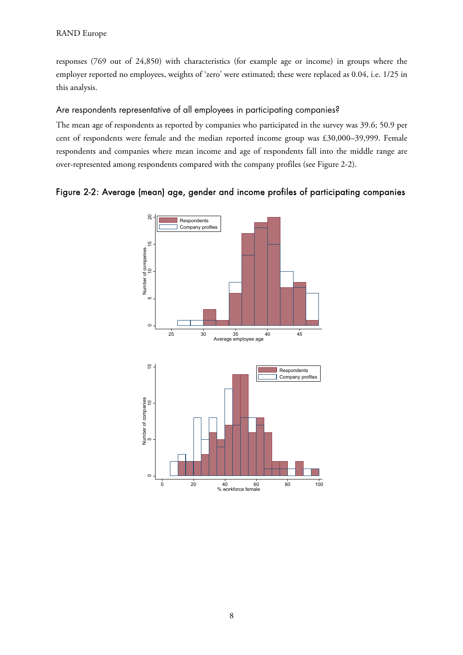### RAND Europe

responses (769 out of 24,850) with characteristics (for example age or income) in groups where the employer reported no employees, weights of 'zero' were estimated; these were replaced as 0.04, i.e. 1/25 in this analysis.

### Are respondents representative of all employees in participating companies?

The mean age of respondents as reported by companies who participated in the survey was 39.6; 50.9 per cent of respondents were female and the median reported income group was £30,000–39,999. Female respondents and companies where mean income and age of respondents fall into the middle range are over-represented among respondents compared with the company profiles (see Figure 2-2).



### Figure 2-2: Average (mean) age, gender and income profiles of participating companies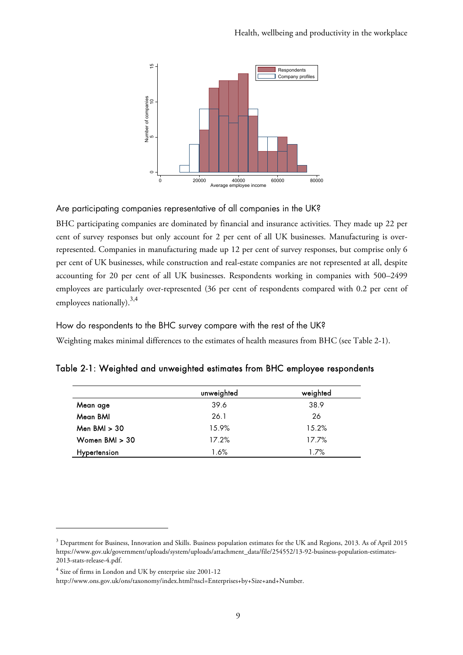

Are participating companies representative of all companies in the UK?

BHC participating companies are dominated by financial and insurance activities. They made up 22 per cent of survey responses but only account for 2 per cent of all UK businesses. Manufacturing is overrepresented. Companies in manufacturing made up 12 per cent of survey responses, but comprise only 6 per cent of UK businesses, while construction and real-estate companies are not represented at all, despite accounting for 20 per cent of all UK businesses. Respondents working in companies with 500–2499 employees are particularly over-represented (36 per cent of respondents compared with 0.2 per cent of employees nationally).  $3,4$ 

How do respondents to the BHC survey compare with the rest of the UK?

Weighting makes minimal differences to the estimates of health measures from BHC (see Table 2-1).

|                     | unweighted | weighted |
|---------------------|------------|----------|
| Mean age            | 39.6       | 38.9     |
| Mean BMI            | 26.1       | 26       |
| Men $BMI > 30$      | 15.9%      | 15.2%    |
| Women $BMI > 30$    | 17.2%      | 17.7%    |
| <b>Hypertension</b> | 1.6%       | 1.7%     |

| Table 2-1: Weighted and unweighted estimates from BHC employee respondents |  |  |  |  |  |
|----------------------------------------------------------------------------|--|--|--|--|--|
|                                                                            |  |  |  |  |  |

 $\overline{a}$ 

 $^3$  Department for Business, Innovation and Skills. Business population estimates for the UK and Regions, 2013. As of April 2015 [https://www.gov.uk/government/uploads/system/uploads/attachment\\_data/file/254552/13-92-business-population-estimates-](https://www.gov.uk/government/uploads/system/uploads/attachment_data/file/254552/13-92-business-population-estimates-2013-stats-release-4.pdf)2013-stats-release-4.pdf.

<sup>4</sup> Size of firms in London and UK by enterprise size 2001-12

[http://www.ons.gov.uk/ons/taxonomy/index.html?nscl=Enterprises+by+Size+and+Number.](http://www.ons.gov.uk/ons/taxonomy/index.html?nscl=Enterprises+by+Size+and+Number)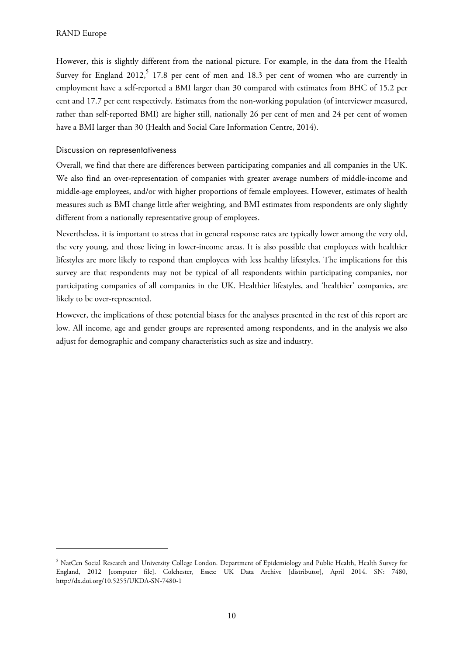1

However, this is slightly different from the national picture. For example, in the data from the Health Survey for England 2012,<sup>5</sup> 17.8 per cent of men and 18.3 per cent of women who are currently in employment have a self-reported a BMI larger than 30 compared with estimates from BHC of 15.2 per cent and 17.7 per cent respectively. Estimates from the non-working population (of interviewer measured, rather than self-reported BMI) are higher still, nationally 26 per cent of men and 24 per cent of women have a BMI larger than 30 (Health and Social Care Information Centre, 2014).

### Discussion on representativeness

Overall, we find that there are differences between participating companies and all companies in the UK. We also find an over-representation of companies with greater average numbers of middle-income and middle-age employees, and/or with higher proportions of female employees. However, estimates of health measures such as BMI change little after weighting, and BMI estimates from respondents are only slightly different from a nationally representative group of employees.

Nevertheless, it is important to stress that in general response rates are typically lower among the very old, the very young, and those living in lower-income areas. It is also possible that employees with healthier lifestyles are more likely to respond than employees with less healthy lifestyles. The implications for this survey are that respondents may not be typical of all respondents within participating companies, nor participating companies of all companies in the UK. Healthier lifestyles, and 'healthier' companies, are likely to be over-represented.

However, the implications of these potential biases for the analyses presented in the rest of this report are low. All income, age and gender groups are represented among respondents, and in the analysis we also adjust for demographic and company characteristics such as size and industry.

 $^5$  NatCen Social Research and University College London. Department of Epidemiology and Public Health, Health Survey for England, 2012 [computer file]. Colchester, Essex: UK Data Archive [distributor], April 2014. SN: 7480, <http://dx.doi.org/10.5255/UKDA-SN-7480-1>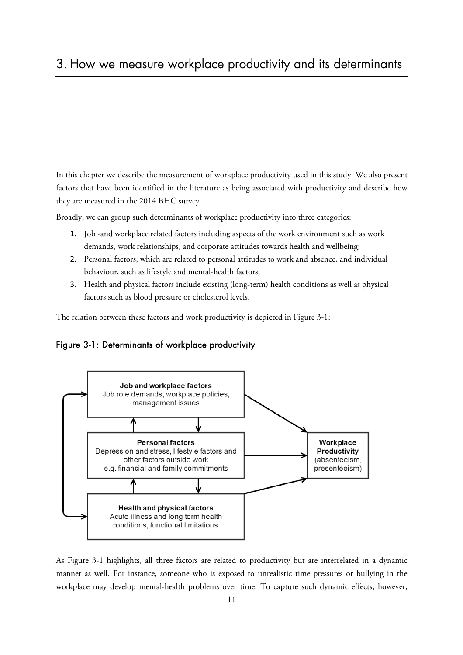# 3. How we measure workplace productivity and its determinants

In this chapter we describe the measurement of workplace productivity used in this study. We also present factors that have been identified in the literature as being associated with productivity and describe how they are measured in the 2014 BHC survey.

Broadly, we can group such determinants of workplace productivity into three categories:

- 1. Job -and workplace related factors including aspects of the work environment such as work demands, work relationships, and corporate attitudes towards health and wellbeing;
- 2. Personal factors, which are related to personal attitudes to work and absence, and individual behaviour, such as lifestyle and mental-health factors;
- 3. Health and physical factors include existing (long-term) health conditions as well as physical factors such as blood pressure or cholesterol levels.

The relation between these factors and work productivity is depicted in Figure 3-1:





As Figure 3-1 highlights, all three factors are related to productivity but are interrelated in a dynamic manner as well. For instance, someone who is exposed to unrealistic time pressures or bullying in the workplace may develop mental-health problems over time. To capture such dynamic effects, however,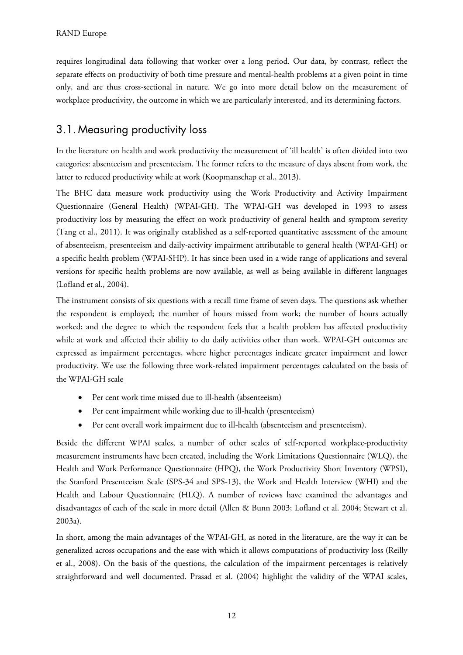requires longitudinal data following that worker over a long period. Our data, by contrast, reflect the separate effects on productivity of both time pressure and mental-health problems at a given point in time only, and are thus cross-sectional in nature. We go into more detail below on the measurement of workplace productivity, the outcome in which we are particularly interested, and its determining factors.

# 3.1. Measuring productivity loss

In the literature on health and work productivity the measurement of 'ill health' is often divided into two categories: absenteeism and presenteeism. The former refers to the measure of days absent from work, the latter to reduced productivity while at work (Koopmanschap et al., 2013).

The BHC data measure work productivity using the Work Productivity and Activity Impairment Questionnaire (General Health) (WPAI-GH). The WPAI-GH was developed in 1993 to assess productivity loss by measuring the effect on work productivity of general health and symptom severity (Tang et al., 2011). It was originally established as a self-reported quantitative assessment of the amount of absenteeism, presenteeism and daily-activity impairment attributable to general health (WPAI-GH) or a specific health problem (WPAI-SHP). It has since been used in a wide range of applications and several versions for specific health problems are now available, as well as being available in different languages (Lofland et al., 2004).

The instrument consists of six questions with a recall time frame of seven days. The questions ask whether the respondent is employed; the number of hours missed from work; the number of hours actually worked; and the degree to which the respondent feels that a health problem has affected productivity while at work and affected their ability to do daily activities other than work. WPAI-GH outcomes are expressed as impairment percentages, where higher percentages indicate greater impairment and lower productivity. We use the following three work-related impairment percentages calculated on the basis of the WPAI-GH scale

- Per cent work time missed due to ill-health (absenteeism)
- Per cent impairment while working due to ill-health (presenteeism)
- Per cent overall work impairment due to ill-health (absenteeism and presenteeism).

Beside the different WPAI scales, a number of other scales of self-reported workplace-productivity measurement instruments have been created, including the Work Limitations Questionnaire (WLQ), the Health and Work Performance Questionnaire (HPQ), the Work Productivity Short Inventory (WPSI), the Stanford Presenteeism Scale (SPS-34 and SPS-13), the Work and Health Interview (WHI) and the Health and Labour Questionnaire (HLQ). A number of reviews have examined the advantages and disadvantages of each of the scale in more detail (Allen & Bunn 2003; Lofland et al. 2004; Stewart et al. 2003a).

In short, among the main advantages of the WPAI-GH, as noted in the literature, are the way it can be generalized across occupations and the ease with which it allows computations of productivity loss (Reilly et al., 2008). On the basis of the questions, the calculation of the impairment percentages is relatively straightforward and well documented. Prasad et al. (2004) highlight the validity of the WPAI scales,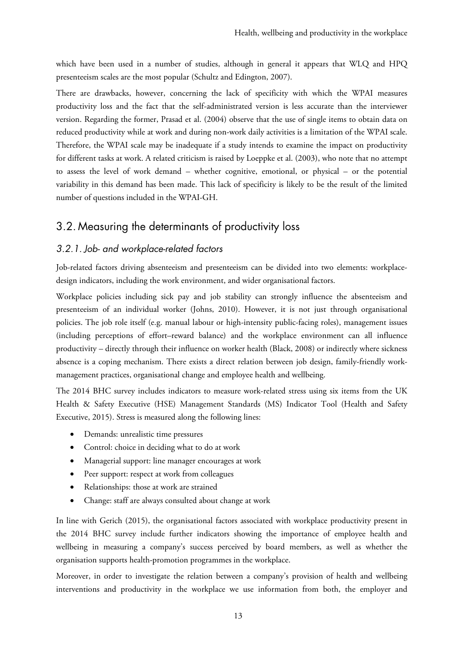which have been used in a number of studies, although in general it appears that WLQ and HPQ presenteeism scales are the most popular (Schultz and Edington, 2007).

There are drawbacks, however, concerning the lack of specificity with which the WPAI measures productivity loss and the fact that the self-administrated version is less accurate than the interviewer version. Regarding the former, Prasad et al. (2004) observe that the use of single items to obtain data on reduced productivity while at work and during non-work daily activities is a limitation of the WPAI scale. Therefore, the WPAI scale may be inadequate if a study intends to examine the impact on productivity for different tasks at work. A related criticism is raised by Loeppke et al. (2003), who note that no attempt to assess the level of work demand – whether cognitive, emotional, or physical – or the potential variability in this demand has been made. This lack of specificity is likely to be the result of the limited number of questions included in the WPAI-GH.

# 3.2. Measuring the determinants of productivity loss

### 3.2.1. Job- and workplace-related factors

Job-related factors driving absenteeism and presenteeism can be divided into two elements: workplacedesign indicators, including the work environment, and wider organisational factors.

Workplace policies including sick pay and job stability can strongly influence the absenteeism and presenteeism of an individual worker (Johns, 2010). However, it is not just through organisational policies. The job role itself (e.g. manual labour or high-intensity public-facing roles), management issues (including perceptions of effort–reward balance) and the workplace environment can all influence productivity – directly through their influence on worker health (Black, 2008) or indirectly where sickness absence is a coping mechanism. There exists a direct relation between job design, family-friendly workmanagement practices, organisational change and employee health and wellbeing.

The 2014 BHC survey includes indicators to measure work-related stress using six items from the UK Health & Safety Executive (HSE) Management Standards (MS) Indicator Tool (Health and Safety Executive, 2015). Stress is measured along the following lines:

- Demands: unrealistic time pressures
- Control: choice in deciding what to do at work
- Managerial support: line manager encourages at work
- Peer support: respect at work from colleagues
- Relationships: those at work are strained
- Change: staff are always consulted about change at work

In line with Gerich (2015), the organisational factors associated with workplace productivity present in the 2014 BHC survey include further indicators showing the importance of employee health and wellbeing in measuring a company's success perceived by board members, as well as whether the organisation supports health-promotion programmes in the workplace.

Moreover, in order to investigate the relation between a company's provision of health and wellbeing interventions and productivity in the workplace we use information from both, the employer and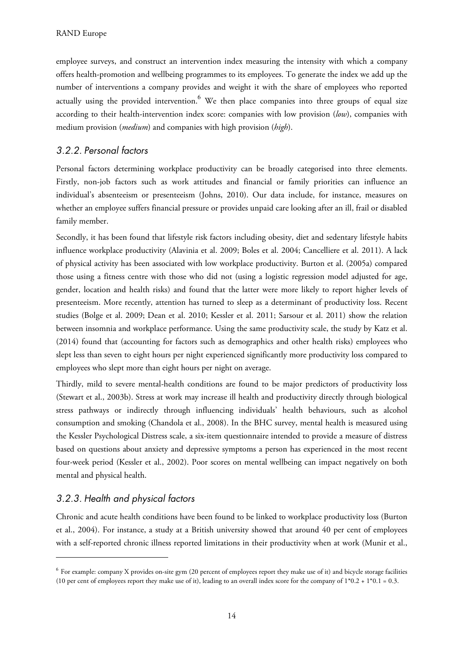employee surveys, and construct an intervention index measuring the intensity with which a company offers health-promotion and wellbeing programmes to its employees. To generate the index we add up the number of interventions a company provides and weight it with the share of employees who reported actually using the provided intervention. $^6$  We then place companies into three groups of equal size according to their health-intervention index score: companies with low provision (*low*), companies with medium provision (*medium*) and companies with high provision (*high*).

### 3.2.2. Personal factors

Personal factors determining workplace productivity can be broadly categorised into three elements. Firstly, non-job factors such as work attitudes and financial or family priorities can influence an individual's absenteeism or presenteeism (Johns, 2010). Our data include, for instance, measures on whether an employee suffers financial pressure or provides unpaid care looking after an ill, frail or disabled family member.

Secondly, it has been found that lifestyle risk factors including obesity, diet and sedentary lifestyle habits influence workplace productivity (Alavinia et al. 2009; Boles et al. 2004; Cancelliere et al. 2011). A lack of physical activity has been associated with low workplace productivity. Burton et al. (2005a) compared those using a fitness centre with those who did not (using a logistic regression model adjusted for age, gender, location and health risks) and found that the latter were more likely to report higher levels of presenteeism. More recently, attention has turned to sleep as a determinant of productivity loss. Recent studies (Bolge et al. 2009; Dean et al. 2010; Kessler et al. 2011; Sarsour et al. 2011) show the relation between insomnia and workplace performance. Using the same productivity scale, the study by Katz et al. (2014) found that (accounting for factors such as demographics and other health risks) employees who slept less than seven to eight hours per night experienced significantly more productivity loss compared to employees who slept more than eight hours per night on average.

Thirdly, mild to severe mental-health conditions are found to be major predictors of productivity loss (Stewart et al., 2003b). Stress at work may increase ill health and productivity directly through biological stress pathways or indirectly through influencing individuals' health behaviours, such as alcohol consumption and smoking (Chandola et al., 2008). In the BHC survey, mental health is measured using the Kessler Psychological Distress scale, a six-item questionnaire intended to provide a measure of distress based on questions about anxiety and depressive symptoms a person has experienced in the most recent four-week period (Kessler et al., 2002). Poor scores on mental wellbeing can impact negatively on both mental and physical health.

## 3.2.3. Health and physical factors

 $\ddot{\phantom{a}}$ 

Chronic and acute health conditions have been found to be linked to workplace productivity loss (Burton et al., 2004). For instance, a study at a British university showed that around 40 per cent of employees with a self-reported chronic illness reported limitations in their productivity when at work (Munir et al.,

<sup>6</sup> For example: company X provides on-site gym (20 percent of employees report they make use of it) and bicycle storage facilities (10 per cent of employees report they make use of it), leading to an overall index score for the company of  $1*0.2 + 1*0.1 = 0.3$ .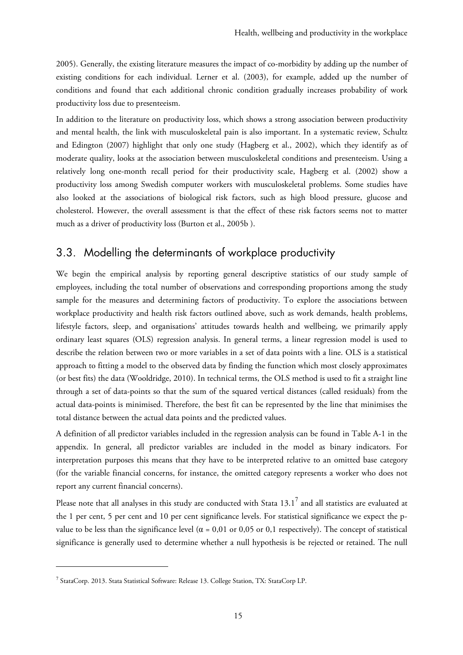2005). Generally, the existing literature measures the impact of co-morbidity by adding up the number of existing conditions for each individual. Lerner et al. (2003), for example, added up the number of conditions and found that each additional chronic condition gradually increases probability of work productivity loss due to presenteeism.

In addition to the literature on productivity loss, which shows a strong association between productivity and mental health, the link with musculoskeletal pain is also important. In a systematic review, Schultz and Edington (2007) highlight that only one study (Hagberg et al., 2002), which they identify as of moderate quality, looks at the association between musculoskeletal conditions and presenteeism. Using a relatively long one-month recall period for their productivity scale, Hagberg et al. (2002) show a productivity loss among Swedish computer workers with musculoskeletal problems. Some studies have also looked at the associations of biological risk factors, such as high blood pressure, glucose and cholesterol. However, the overall assessment is that the effect of these risk factors seems not to matter much as a driver of productivity loss (Burton et al., 2005b ).

# 3.3. Modelling the determinants of workplace productivity

We begin the empirical analysis by reporting general descriptive statistics of our study sample of employees, including the total number of observations and corresponding proportions among the study sample for the measures and determining factors of productivity. To explore the associations between workplace productivity and health risk factors outlined above, such as work demands, health problems, lifestyle factors, sleep, and organisations' attitudes towards health and wellbeing, we primarily apply ordinary least squares (OLS) regression analysis. In general terms, a linear regression model is used to describe the relation between two or more variables in a set of data points with a line. OLS is a statistical approach to fitting a model to the observed data by finding the function which most closely approximates (or best fits) the data (Wooldridge, 2010). In technical terms, the OLS method is used to fit a straight line through a set of data-points so that the sum of the squared vertical distances (called residuals) from the actual data-points is minimised. Therefore, the best fit can be represented by the line that minimises the total distance between the actual data points and the predicted values.

A definition of all predictor variables included in the regression analysis can be found in Table A-1 in the appendix. In general, all predictor variables are included in the model as binary indicators. For interpretation purposes this means that they have to be interpreted relative to an omitted base category (for the variable financial concerns, for instance, the omitted category represents a worker who does not report any current financial concerns).

Please note that all analyses in this study are conducted with Stata 13.1 $^7$  and all statistics are evaluated at the 1 per cent, 5 per cent and 10 per cent significance levels. For statistical significance we expect the pvalue to be less than the significance level ( $\alpha$  = 0,01 or 0,05 or 0,1 respectively). The concept of statistical significance is generally used to determine whether a null hypothesis is be rejected or retained. The null

1

<sup>7</sup> StataCorp. 2013. Stata Statistical Software: Release 13. College Station, TX: StataCorp LP.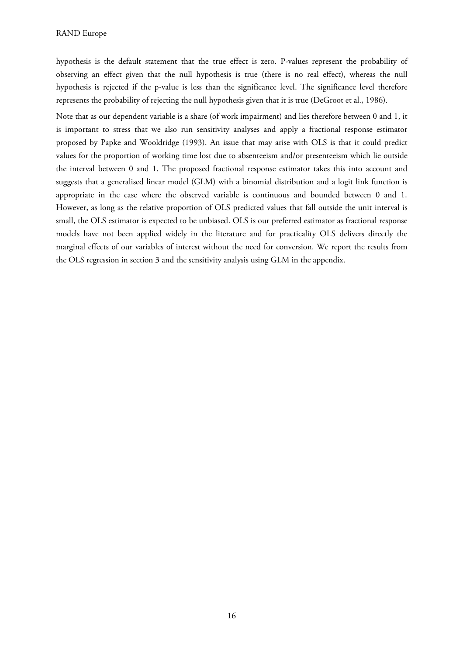hypothesis is the default statement that the true effect is zero. P-values represent the probability of observing an effect given that the null hypothesis is true (there is no real effect), whereas the null hypothesis is rejected if the p-value is less than the significance level. The significance level therefore represents the probability of rejecting the null hypothesis given that it is true (DeGroot et al., 1986).

Note that as our dependent variable is a share (of work impairment) and lies therefore between 0 and 1, it is important to stress that we also run sensitivity analyses and apply a fractional response estimator proposed by Papke and Wooldridge (1993). An issue that may arise with OLS is that it could predict values for the proportion of working time lost due to absenteeism and/or presenteeism which lie outside the interval between 0 and 1. The proposed fractional response estimator takes this into account and suggests that a generalised linear model (GLM) with a binomial distribution and a logit link function is appropriate in the case where the observed variable is continuous and bounded between 0 and 1. However, as long as the relative proportion of OLS predicted values that fall outside the unit interval is small, the OLS estimator is expected to be unbiased. OLS is our preferred estimator as fractional response models have not been applied widely in the literature and for practicality OLS delivers directly the marginal effects of our variables of interest without the need for conversion. We report the results from the OLS regression in section 3 and the sensitivity analysis using GLM in the appendix.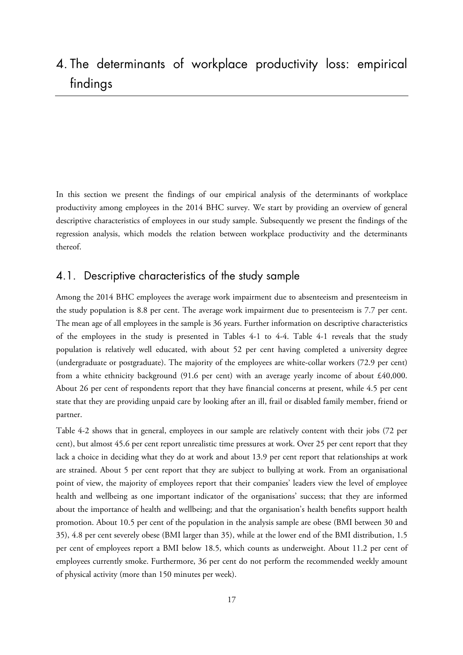# 4. The determinants of workplace productivity loss: empirical findings

In this section we present the findings of our empirical analysis of the determinants of workplace productivity among employees in the 2014 BHC survey. We start by providing an overview of general descriptive characteristics of employees in our study sample. Subsequently we present the findings of the regression analysis, which models the relation between workplace productivity and the determinants thereof.

### 4.1. Descriptive characteristics of the study sample

Among the 2014 BHC employees the average work impairment due to absenteeism and presenteeism in the study population is 8.8 per cent. The average work impairment due to presenteeism is 7.7 per cent. The mean age of all employees in the sample is 36 years. Further information on descriptive characteristics of the employees in the study is presented in Tables 4-1 to 4-4. Table 4-1 reveals that the study population is relatively well educated, with about 52 per cent having completed a university degree (undergraduate or postgraduate). The majority of the employees are white-collar workers (72.9 per cent) from a white ethnicity background (91.6 per cent) with an average yearly income of about £40,000. About 26 per cent of respondents report that they have financial concerns at present, while 4.5 per cent state that they are providing unpaid care by looking after an ill, frail or disabled family member, friend or partner.

Table 4-2 shows that in general, employees in our sample are relatively content with their jobs (72 per cent), but almost 45.6 per cent report unrealistic time pressures at work. Over 25 per cent report that they lack a choice in deciding what they do at work and about 13.9 per cent report that relationships at work are strained. About 5 per cent report that they are subject to bullying at work. From an organisational point of view, the majority of employees report that their companies' leaders view the level of employee health and wellbeing as one important indicator of the organisations' success; that they are informed about the importance of health and wellbeing; and that the organisation's health benefits support health promotion. About 10.5 per cent of the population in the analysis sample are obese (BMI between 30 and 35), 4.8 per cent severely obese (BMI larger than 35), while at the lower end of the BMI distribution, 1.5 per cent of employees report a BMI below 18.5, which counts as underweight. About 11.2 per cent of employees currently smoke. Furthermore, 36 per cent do not perform the recommended weekly amount of physical activity (more than 150 minutes per week).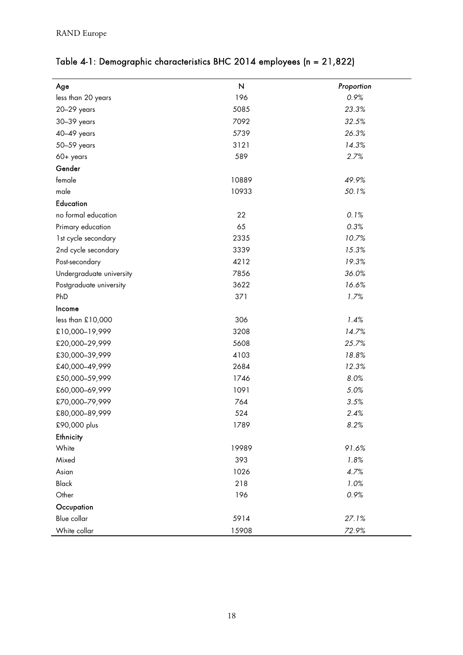| Age                      | $\boldsymbol{\mathsf{N}}$ | Proportion |
|--------------------------|---------------------------|------------|
| less than 20 years       | 196                       | 0.9%       |
| 20-29 years              | 5085                      | 23.3%      |
| 30-39 years              | 7092                      | 32.5%      |
| 40-49 years              | 5739                      | 26.3%      |
| 50-59 years              | 3121                      | 14.3%      |
| 60+ years                | 589                       | 2.7%       |
| Gender                   |                           |            |
| female                   | 10889                     | 49.9%      |
| male                     | 10933                     | 50.1%      |
| <b>Education</b>         |                           |            |
| no formal education      | 22                        | 0.1%       |
| Primary education        | 65                        | 0.3%       |
| 1st cycle secondary      | 2335                      | 10.7%      |
| 2nd cycle secondary      | 3339                      | 15.3%      |
| Post-secondary           | 4212                      | 19.3%      |
| Undergraduate university | 7856                      | 36.0%      |
| Postgraduate university  | 3622                      | 16.6%      |
| PhD                      | 371                       | 1.7%       |
| Income                   |                           |            |
| less than £10,000        | 306                       | 1.4%       |
| £10,000-19,999           | 3208                      | 14.7%      |
| £20,000-29,999           | 5608                      | 25.7%      |
| £30,000-39,999           | 4103                      | 18.8%      |
| £40,000-49,999           | 2684                      | 12.3%      |
| £50,000-59,999           | 1746                      | 8.0%       |
| £60,000-69,999           | 1091                      | 5.0%       |
| £70,000-79,999           | 764                       | 3.5%       |
| £80,000-89,999           | 524                       | 2.4%       |
| £90,000 plus             | 1789                      | 8.2%       |
| Ethnicity                |                           |            |
| White                    | 19989                     | 91.6%      |
| Mixed                    | 393                       | 1.8%       |
| Asian                    | 1026                      | 4.7%       |
| <b>Black</b>             | 218                       | 1.0%       |
| Other                    | 196                       | 0.9%       |
| Occupation               |                           |            |
| Blue collar              | 5914                      | 27.1%      |
| White collar             | 15908                     | 72.9%      |

# Table 4-1: Demographic characteristics BHC 2014 employees (n = 21,822)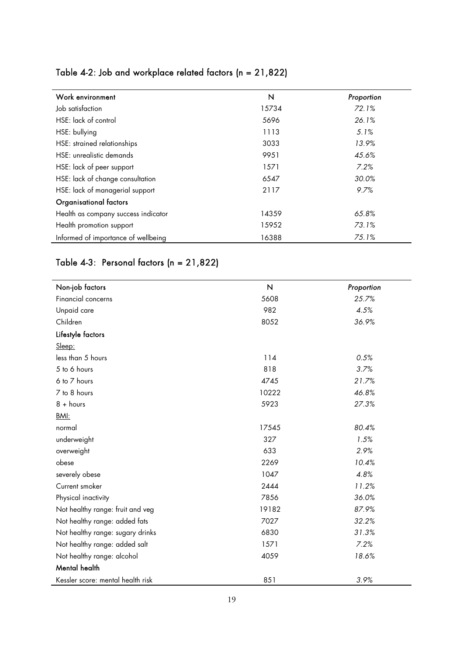| Work environment                    | N     | Proportion |
|-------------------------------------|-------|------------|
| Job satisfaction                    | 15734 | 72.1%      |
| HSE: lack of control                | 5696  | 26.1%      |
| HSE: bullying                       | 1113  | $5.1\%$    |
| HSE: strained relationships         | 3033  | 13.9%      |
| HSE: unrealistic demands            | 9951  | 45.6%      |
| HSE: lack of peer support           | 1571  | 7.2%       |
| HSE: lack of change consultation    | 6547  | 30.0%      |
| HSE: lack of managerial support     | 2117  | 9.7%       |
| Organisational factors              |       |            |
| Health as company success indicator | 14359 | 65.8%      |
| Health promotion support            | 15952 | 73.1%      |
| Informed of importance of wellbeing | 16388 | 75.1%      |

# Table 4-2: Job and workplace related factors (n = 21,822)

# Table 4-3: Personal factors (n = 21,822)

| Non-job factors                   | $\boldsymbol{\mathsf{N}}$ | Proportion |
|-----------------------------------|---------------------------|------------|
| Financial concerns                | 5608                      | 25.7%      |
| Unpaid care                       | 982                       | 4.5%       |
| Children                          | 8052                      | 36.9%      |
| Lifestyle factors                 |                           |            |
| Sleep:                            |                           |            |
| less than 5 hours                 | 114                       | 0.5%       |
| 5 to 6 hours                      | 818                       | 3.7%       |
| 6 to 7 hours                      | 4745                      | 21.7%      |
| 7 to 8 hours                      | 10222                     | 46.8%      |
| $8 + hours$                       | 5923                      | 27.3%      |
| BMI:                              |                           |            |
| normal                            | 17545                     | 80.4%      |
| underweight                       | 327                       | 1.5%       |
| overweight                        | 633                       | 2.9%       |
| obese                             | 2269                      | 10.4%      |
| severely obese                    | 1047                      | 4.8%       |
| Current smoker                    | 2444                      | 11.2%      |
| Physical inactivity               | 7856                      | 36.0%      |
| Not healthy range: fruit and veg  | 19182                     | 87.9%      |
| Not healthy range: added fats     | 7027                      | 32.2%      |
| Not healthy range: sugary drinks  | 6830                      | 31.3%      |
| Not healthy range: added salt     | 1571                      | 7.2%       |
| Not healthy range: alcohol        | 4059                      | 18.6%      |
| Mental health                     |                           |            |
| Kessler score: mental health risk | 851                       | 3.9%       |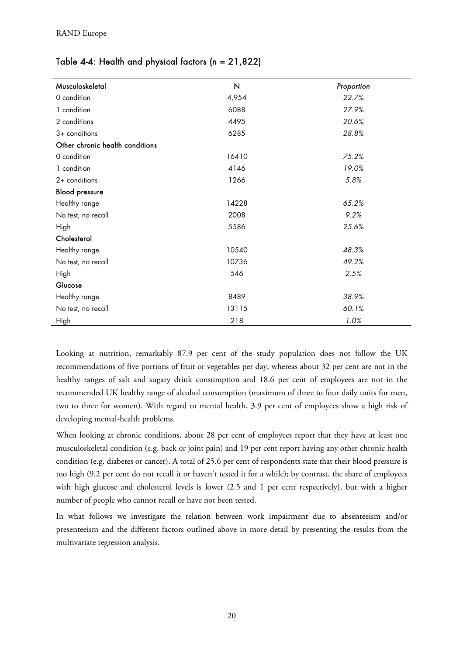| Table 4-4: Health and physical factors ( $n = 21,822$ ) |  |  |
|---------------------------------------------------------|--|--|
|---------------------------------------------------------|--|--|

| Musculoskeletal                 | N             | Proportion |
|---------------------------------|---------------|------------|
| 0 condition                     | 4,954         | 22.7%      |
| 1 condition                     | 6088          | 27.9%      |
| 2 conditions                    | 4495          | 20.6%      |
| $3+$ conditions                 | 6285          | 28.8%      |
| Other chronic health conditions |               |            |
| 0 condition                     | 16410         | 75.2%      |
| 1 condition                     | 4146          | 19.0%      |
| 2+ conditions                   | 1266          | 5.8%       |
| <b>Blood pressure</b>           |               |            |
| Healthy range                   | 14228         | 65.2%      |
| No test, no recall              | 2008          | 9.2%       |
| High                            | 5586<br>25.6% |            |
| Cholesterol                     |               |            |
| Healthy range                   | 10540         | 48.3%      |
| No test, no recall              | 10736         | 49.2%      |
| High                            | 546           | 2.5%       |
| Glucose                         |               |            |
| Healthy range                   | 8489          | 38.9%      |
| No test, no recall              | 13115         | 60.1%      |
| High                            | 218           | 1.0%       |

Looking at nutrition, remarkably 87.9 per cent of the study population does not follow the UK recommendations of five portions of fruit or vegetables per day, whereas about 32 per cent are not in the healthy ranges of salt and sugary drink consumption and 18.6 per cent of employees are not in the recommended UK healthy range of alcohol consumption (maximum of three to four daily units for men, two to three for women). With regard to mental health, 3.9 per cent of employees show a high risk of developing mental-health problems.

When looking at chronic conditions, about 28 per cent of employees report that they have at least one musculoskeletal condition (e.g. back or joint pain) and 19 per cent report having any other chronic health condition (e.g. diabetes or cancer). A total of 25.6 per cent of respondents state that their blood pressure is too high (9.2 per cent do not recall it or haven't tested it for a while); by contrast, the share of employees with high glucose and cholesterol levels is lower (2.5 and 1 per cent respectively), but with a higher number of people who cannot recall or have not been tested.

In what follows we investigate the relation between work impairment due to absenteeism and/or presenteeism and the different factors outlined above in more detail by presenting the results from the multivariate regression analysis.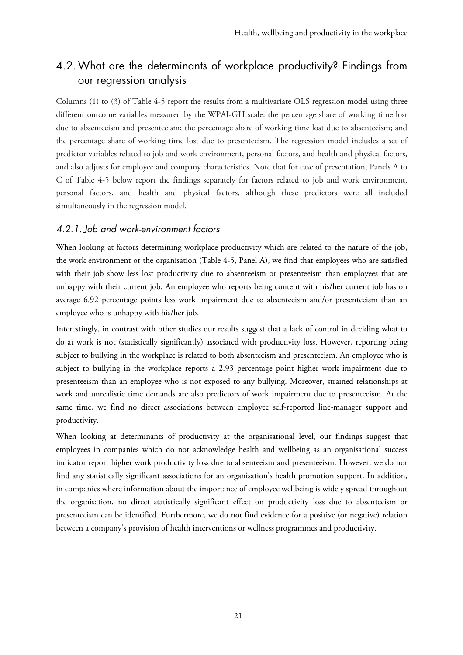# 4.2.What are the determinants of workplace productivity? Findings from our regression analysis

Columns (1) to (3) of Table 4-5 report the results from a multivariate OLS regression model using three different outcome variables measured by the WPAI-GH scale: the percentage share of working time lost due to absenteeism and presenteeism; the percentage share of working time lost due to absenteeism; and the percentage share of working time lost due to presenteeism. The regression model includes a set of predictor variables related to job and work environment, personal factors, and health and physical factors, and also adjusts for employee and company characteristics. Note that for ease of presentation, Panels A to C of Table 4-5 below report the findings separately for factors related to job and work environment, personal factors, and health and physical factors, although these predictors were all included simultaneously in the regression model.

### 4.2.1. Job and work-environment factors

When looking at factors determining workplace productivity which are related to the nature of the job, the work environment or the organisation (Table 4-5, Panel A), we find that employees who are satisfied with their job show less lost productivity due to absenteeism or presenteeism than employees that are unhappy with their current job. An employee who reports being content with his/her current job has on average 6.92 percentage points less work impairment due to absenteeism and/or presenteeism than an employee who is unhappy with his/her job.

Interestingly, in contrast with other studies our results suggest that a lack of control in deciding what to do at work is not (statistically significantly) associated with productivity loss. However, reporting being subject to bullying in the workplace is related to both absenteeism and presenteeism. An employee who is subject to bullying in the workplace reports a 2.93 percentage point higher work impairment due to presenteeism than an employee who is not exposed to any bullying. Moreover, strained relationships at work and unrealistic time demands are also predictors of work impairment due to presenteeism. At the same time, we find no direct associations between employee self-reported line-manager support and productivity.

When looking at determinants of productivity at the organisational level, our findings suggest that employees in companies which do not acknowledge health and wellbeing as an organisational success indicator report higher work productivity loss due to absenteeism and presenteeism. However, we do not find any statistically significant associations for an organisation's health promotion support. In addition, in companies where information about the importance of employee wellbeing is widely spread throughout the organisation, no direct statistically significant effect on productivity loss due to absenteeism or presenteeism can be identified. Furthermore, we do not find evidence for a positive (or negative) relation between a company's provision of health interventions or wellness programmes and productivity.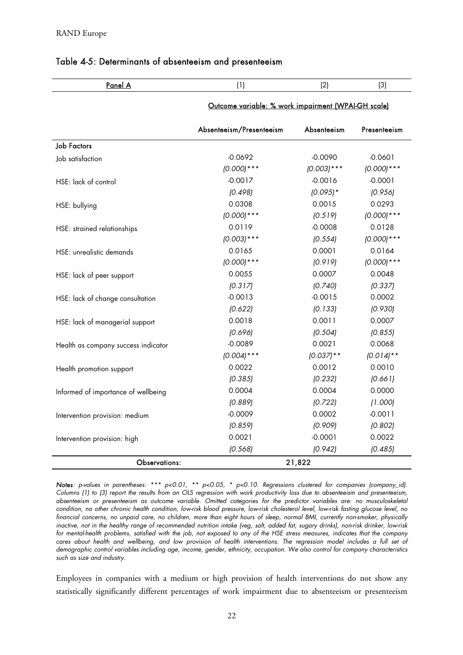| Panel A                             | (1)                                                 | (2)           | (3)           |
|-------------------------------------|-----------------------------------------------------|---------------|---------------|
|                                     | Outcome variable: % work impairment (WPAI-GH scale) |               |               |
|                                     | Absenteeism/Presenteeism                            | Absenteeism   | Presenteeism  |
| <b>Job Factors</b>                  |                                                     |               |               |
| Job satisfaction                    | $-0.0692$                                           | $-0.0090$     | $-0.0601$     |
|                                     | $(0.000)****$                                       | $(0.003)$ *** | $(0.000)****$ |
| HSE: lack of control                | $-0.0017$                                           | $-0.0016$     | $-0.0001$     |
|                                     | (0.498)                                             | $(0.095)*$    | (0.956)       |
| HSE: bullying                       | 0.0308                                              | 0.0015        | 0.0293        |
|                                     | $(0.000)****$                                       | (0.519)       | $(0.000)***$  |
| HSE: strained relationships         | 0.0119                                              | $-0.0008$     | 0.0128        |
|                                     | $(0.003)$ ***                                       | (0.554)       | $(0.000)***$  |
| HSE: unrealistic demands            | 0.0165                                              | 0.0001        | 0.0164        |
|                                     | $(0.000)****$                                       | (0.919)       | $(0.000)***$  |
| HSE: lack of peer support           | 0.0055                                              | 0.0007        | 0.0048        |
|                                     | (0.317)                                             | (0.740)       | (0.337)       |
| HSE: lack of change consultation    | $-0.0013$                                           | $-0.0015$     | 0.0002        |
|                                     | (0.622)                                             | (0.133)       | (0.930)       |
| HSE: lack of managerial support     | 0.0018                                              | 0.0011        | 0.0007        |
|                                     | (0.696)                                             | (0.504)       | (0.855)       |
| Health as company success indicator | $-0.0089$                                           | 0.0021        | 0.0068        |
|                                     | $(0.004)$ ***                                       | $(0.037)$ **  | $(0.014)$ **  |
| Health promotion support            | 0.0022                                              | 0.0012        | 0.0010        |
|                                     | (0.385)                                             | (0.232)       | (0.661)       |
| Informed of importance of wellbeing | 0.0004                                              | 0.0004        | 0.0000        |
|                                     | (0.889)                                             | (0.722)       | (1.000)       |
| Intervention provision: medium      | $-0.0009$                                           | 0.0002        | $-0.0011$     |
|                                     | (0.859)                                             | (0.909)       | (0.802)       |
| Intervention provision: high        | 0.0021                                              | $-0.0001$     | 0.0022        |
|                                     | (0.568)                                             | (0.942)       | (0.485)       |
| Observations:                       |                                                     | 21,822        |               |

#### Table 4-5: Determinants of absenteeism and presenteeism

Notes: p-values in parentheses: \*\*\* p<0.01, \*\* p<0.05, \* p<0.10. Regressions clustered for companies (company\_id). Columns (1) to (3) report the results from an OLS regression with work productivity loss due to absenteeism and presenteeism, absenteeism or presenteeism as outcome variable. Omitted categories for the predictor variables are: no musculoskeletal condition, no other chronic health condition, low-risk blood pressure, low-risk cholesterol level, low-risk fasting glucose level, no financial concerns, no unpaid care, no children, more than eight hours of sleep, normal BMI, currently non-smoker, physically inactive, not in the healthy range of recommended nutrition intake (veg, salt, added fat, sugary drinks), non-risk drinker, low-risk for mental-health problems, satisfied with the job, not exposed to any of the HSE stress measures, indicates that the company cares about health and wellbeing, and low provision of health interventions. The regression model includes a full set of demographic control variables including age, income, gender, ethnicity, occupation. We also control for company characteristics such as size and industry.

Employees in companies with a medium or high provision of health interventions do not show any statistically significantly different percentages of work impairment due to absenteeism or presenteeism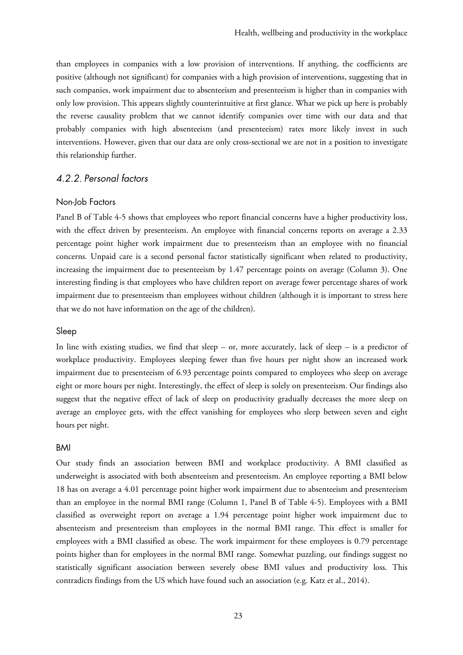than employees in companies with a low provision of interventions. If anything, the coefficients are positive (although not significant) for companies with a high provision of interventions, suggesting that in such companies, work impairment due to absenteeism and presenteeism is higher than in companies with only low provision. This appears slightly counterintuitive at first glance. What we pick up here is probably the reverse causality problem that we cannot identify companies over time with our data and that probably companies with high absenteeism (and presenteeism) rates more likely invest in such interventions. However, given that our data are only cross-sectional we are not in a position to investigate this relationship further.

### 4.2.2. Personal factors

#### Non-Job Factors

Panel B of Table 4-5 shows that employees who report financial concerns have a higher productivity loss, with the effect driven by presenteeism. An employee with financial concerns reports on average a 2.33 percentage point higher work impairment due to presenteeism than an employee with no financial concerns. Unpaid care is a second personal factor statistically significant when related to productivity, increasing the impairment due to presenteeism by 1.47 percentage points on average (Column 3). One interesting finding is that employees who have children report on average fewer percentage shares of work impairment due to presenteeism than employees without children (although it is important to stress here that we do not have information on the age of the children).

#### Sleep

In line with existing studies, we find that sleep – or, more accurately, lack of sleep – is a predictor of workplace productivity. Employees sleeping fewer than five hours per night show an increased work impairment due to presenteeism of 6.93 percentage points compared to employees who sleep on average eight or more hours per night. Interestingly, the effect of sleep is solely on presenteeism. Our findings also suggest that the negative effect of lack of sleep on productivity gradually decreases the more sleep on average an employee gets, with the effect vanishing for employees who sleep between seven and eight hours per night.

#### BMI

Our study finds an association between BMI and workplace productivity. A BMI classified as underweight is associated with both absenteeism and presenteeism. An employee reporting a BMI below 18 has on average a 4.01 percentage point higher work impairment due to absenteeism and presenteeism than an employee in the normal BMI range (Column 1, Panel B of Table 4-5). Employees with a BMI classified as overweight report on average a 1.94 percentage point higher work impairment due to absenteeism and presenteeism than employees in the normal BMI range. This effect is smaller for employees with a BMI classified as obese. The work impairment for these employees is 0.79 percentage points higher than for employees in the normal BMI range. Somewhat puzzling, our findings suggest no statistically significant association between severely obese BMI values and productivity loss. This contradicts findings from the US which have found such an association (e.g. Katz et al., 2014).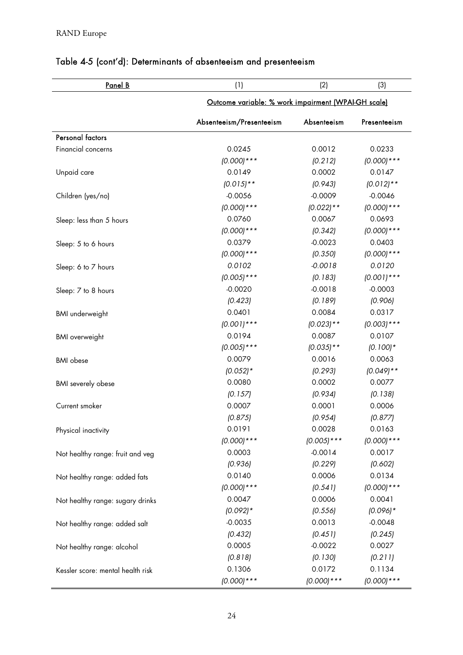| Panel B                           | (1)                                                 | (2)           | (3)           |
|-----------------------------------|-----------------------------------------------------|---------------|---------------|
|                                   | Outcome variable: % work impairment (WPAI-GH scale) |               |               |
|                                   | Absenteeism/Presenteeism                            | Absenteeism   | Presenteeism  |
| <b>Personal factors</b>           |                                                     |               |               |
| Financial concerns                | 0.0245                                              | 0.0012        | 0.0233        |
|                                   | $(0.000)****$                                       | (0.212)       | $(0.000)****$ |
| Unpaid care                       | 0.0149                                              | 0.0002        | 0.0147        |
|                                   | $(0.015)$ **                                        | (0.943)       | $(0.012)$ **  |
| Children (yes/no)                 | $-0.0056$                                           | $-0.0009$     | $-0.0046$     |
|                                   | $(0.000)****$                                       | $(0.022)**$   | $(0.000)***$  |
| Sleep: less than 5 hours          | 0.0760                                              | 0.0067        | 0.0693        |
|                                   | $(0.000)****$                                       | (0.342)       | $(0.000)****$ |
| Sleep: 5 to 6 hours               | 0.0379                                              | $-0.0023$     | 0.0403        |
|                                   | $(0.000)****$                                       | (0.350)       | $(0.000)****$ |
| Sleep: 6 to 7 hours               | 0.0102                                              | $-0.0018$     | 0.0120        |
|                                   | $(0.005)$ ***                                       | (0.183)       | $(0.001)$ *** |
| Sleep: 7 to 8 hours               | $-0.0020$                                           | $-0.0018$     | $-0.0003$     |
|                                   | (0.423)                                             | (0.189)       | (0.906)       |
| <b>BMI</b> underweight            | 0.0401                                              | 0.0084        | 0.0317        |
|                                   | $(0.001)$ ***                                       | $(0.023)**$   | $(0.003)$ *** |
| <b>BMI</b> overweight             | 0.0194                                              | 0.0087        | 0.0107        |
|                                   | $(0.005)$ ***                                       | $(0.035)**$   | $(0.100)*$    |
| <b>BMI</b> obese                  | 0.0079                                              | 0.0016        | 0.0063        |
|                                   | $(0.052)*$                                          | (0.293)       | $(0.049)$ **  |
| <b>BMI</b> severely obese         | 0.0080                                              | 0.0002        | 0.0077        |
|                                   | (0.157)                                             | (0.934)       | (0.138)       |
| Current smoker                    | 0.0007                                              | 0.0001        | 0.0006        |
|                                   | (0.875)                                             | (0.954)       | (0.877)       |
| Physical inactivity               | 0.0191                                              | 0.0028        | 0.0163        |
|                                   | $(0.000)****$                                       | $(0.005)$ *** | $(0.000)****$ |
| Not healthy range: fruit and veg  | 0.0003                                              | $-0.0014$     | 0.0017        |
|                                   | (0.936)                                             | (0.229)       | (0.602)       |
| Not healthy range: added fats     | 0.0140                                              | 0.0006        | 0.0134        |
|                                   | $(0.000)****$                                       | (0.541)       | $(0.000)****$ |
| Not healthy range: sugary drinks  | 0.0047                                              | 0.0006        | 0.0041        |
|                                   | $(0.092)*$                                          | (0.556)       | $(0.096)$ *   |
| Not healthy range: added salt     | $-0.0035$                                           | 0.0013        | $-0.0048$     |
|                                   | (0.432)                                             | (0.451)       | (0.245)       |
| Not healthy range: alcohol        | 0.0005                                              | $-0.0022$     | 0.0027        |
|                                   | (0.818)                                             | (0.130)       | (0.211)       |
| Kessler score: mental health risk | 0.1306                                              | 0.0172        | 0.1134        |
|                                   | $(0.000)***$                                        | $(0.000)****$ | $(0.000)***$  |

# Table 4-5 (cont'd): Determinants of absenteeism and presenteeism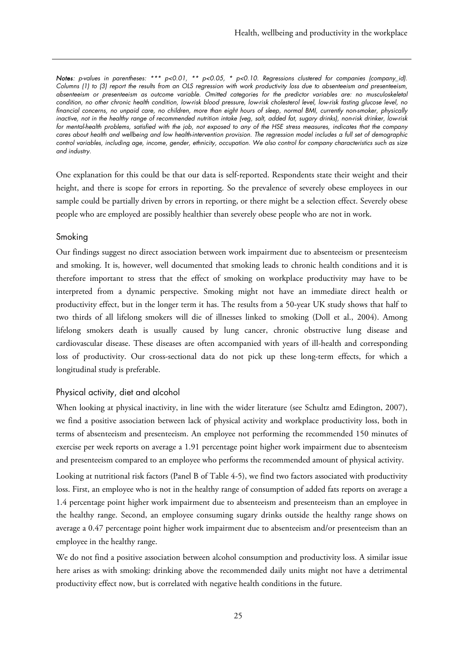Notes: p-values in parentheses: \*\*\*  $p<0.01$ , \*\*  $p<0.05$ , \*  $p<0.10$ . Regressions clustered for companies (company\_id). Columns (1) to (3) report the results from an OLS regression with work productivity loss due to absenteeism and presenteeism, absenteeism or presenteeism as outcome variable. Omitted categories for the predictor variables are: no musculoskeletal condition, no other chronic health condition, low-risk blood pressure, low-risk cholesterol level, low-risk fasting glucose level, no financial concerns, no unpaid care, no children, more than eight hours of sleep, normal BMI, currently non-smoker, physically inactive, not in the healthy range of recommended nutrition intake (veg, salt, added fat, sugary drinks), non-risk drinker, low-risk for mental-health problems, satisfied with the job, not exposed to any of the HSE stress measures, indicates that the company cares about health and wellbeing and low health-intervention provision. The regression model includes a full set of demographic control variables, including age, income, gender, ethnicity, occupation. We also control for company characteristics such as size and industry.

One explanation for this could be that our data is self-reported. Respondents state their weight and their height, and there is scope for errors in reporting. So the prevalence of severely obese employees in our sample could be partially driven by errors in reporting, or there might be a selection effect. Severely obese people who are employed are possibly healthier than severely obese people who are not in work.

### Smoking

Our findings suggest no direct association between work impairment due to absenteeism or presenteeism and smoking. It is, however, well documented that smoking leads to chronic health conditions and it is therefore important to stress that the effect of smoking on workplace productivity may have to be interpreted from a dynamic perspective. Smoking might not have an immediate direct health or productivity effect, but in the longer term it has. The results from a 50-year UK study shows that half to two thirds of all lifelong smokers will die of illnesses linked to smoking (Doll et al., 2004). Among lifelong smokers death is usually caused by lung cancer, chronic obstructive lung disease and cardiovascular disease. These diseases are often accompanied with years of ill-health and corresponding loss of productivity. Our cross-sectional data do not pick up these long-term effects, for which a longitudinal study is preferable.

### Physical activity, diet and alcohol

When looking at physical inactivity, in line with the wider literature (see Schultz amd Edington, 2007), we find a positive association between lack of physical activity and workplace productivity loss, both in terms of absenteeism and presenteeism. An employee not performing the recommended 150 minutes of exercise per week reports on average a 1.91 percentage point higher work impairment due to absenteeism and presenteeism compared to an employee who performs the recommended amount of physical activity.

Looking at nutritional risk factors (Panel B of Table 4-5), we find two factors associated with productivity loss. First, an employee who is not in the healthy range of consumption of added fats reports on average a 1.4 percentage point higher work impairment due to absenteeism and presenteeism than an employee in the healthy range. Second, an employee consuming sugary drinks outside the healthy range shows on average a 0.47 percentage point higher work impairment due to absenteeism and/or presenteeism than an employee in the healthy range.

We do not find a positive association between alcohol consumption and productivity loss. A similar issue here arises as with smoking: drinking above the recommended daily units might not have a detrimental productivity effect now, but is correlated with negative health conditions in the future.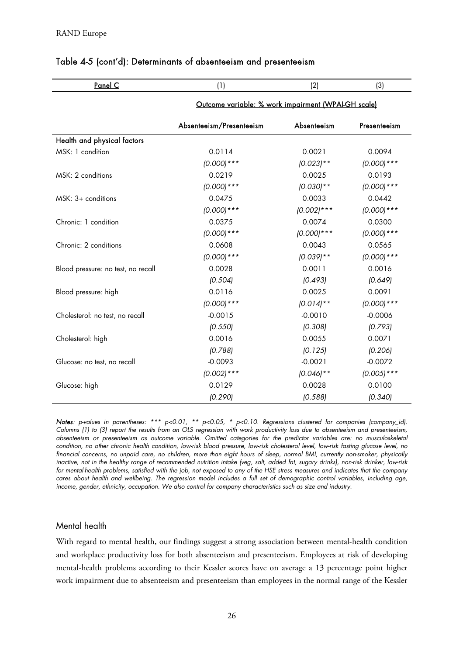| <u>Panel C</u>                     | (1)                                                 | (2)           | (3)           |
|------------------------------------|-----------------------------------------------------|---------------|---------------|
|                                    | Outcome variable: % work impairment (WPAI-GH scale) |               |               |
|                                    | Absenteeism/Presenteeism                            | Absenteeism   | Presenteeism  |
| Health and physical factors        |                                                     |               |               |
| MSK: 1 condition                   | 0.0114                                              | 0.0021        | 0.0094        |
|                                    | $(0.000)****$                                       | $(0.023)**$   | $(0.000)****$ |
| MSK: 2 conditions                  | 0.0219                                              | 0.0025        | 0.0193        |
|                                    | $(0.000)****$                                       | $(0.030)**$   | $(0.000)****$ |
| $MSK: 3+$ conditions               | 0.0475                                              | 0.0033        | 0.0442        |
|                                    | $(0.000)****$                                       | $(0.002)$ *** | $(0.000)****$ |
| Chronic: 1 condition               | 0.0375                                              | 0.0074        | 0.0300        |
|                                    | $(0.000)****$                                       | $(0.000)****$ | $(0.000)****$ |
| Chronic: 2 conditions              | 0.0608                                              | 0.0043        | 0.0565        |
|                                    | $(0.000)****$                                       | $(0.039)**$   | $(0.000)****$ |
| Blood pressure: no test, no recall | 0.0028                                              | 0.0011        | 0.0016        |
|                                    | (0.504)                                             | (0.493)       | (0.649)       |
| Blood pressure: high               | 0.0116                                              | 0.0025        | 0.0091        |
|                                    | $(0.000)****$                                       | $(0.014)$ **  | $(0.000)****$ |
| Cholesterol: no test, no recall    | $-0.0015$                                           | $-0.0010$     | $-0.0006$     |
|                                    | (0.550)                                             | (0.308)       | (0.793)       |
| Cholesterol: high                  | 0.0016                                              | 0.0055        | 0.0071        |
|                                    | (0.788)                                             | (0.125)       | (0.206)       |
| Glucose: no test, no recall        | $-0.0093$                                           | $-0.0021$     | $-0.0072$     |
|                                    | $(0.002)$ ***                                       | $(0.046)$ **  | $(0.005)$ *** |
| Glucose: high                      | 0.0129                                              | 0.0028        | 0.0100        |
|                                    | (0.290)                                             | (0.588)       | (0.340)       |

### Table 4-5 (cont'd): Determinants of absenteeism and presenteeism

Notes: p-values in parentheses: \*\*\*  $p<0.01$ , \*\*  $p<0.05$ , \*  $p<0.10$ . Regressions clustered for companies (company\_id). Columns (1) to (3) report the results from an OLS regression with work productivity loss due to absenteeism and presenteeism, absenteeism or presenteeism as outcome variable. Omitted categories for the predictor variables are: no musculoskeletal condition, no other chronic health condition, low-risk blood pressure, low-risk cholesterol level, low-risk fasting glucose level, no financial concerns, no unpaid care, no children, more than eight hours of sleep, normal BMI, currently non-smoker, physically inactive, not in the healthy range of recommended nutrition intake (veg, salt, added fat, sugary drinks), non-risk drinker, low-risk for mental-health problems, satisfied with the job, not exposed to any of the HSE stress measures and indicates that the company cares about health and wellbeing. The regression model includes a full set of demographic control variables, including age, income, gender, ethnicity, occupation. We also control for company characteristics such as size and industry.

### Mental health

With regard to mental health, our findings suggest a strong association between mental-health condition and workplace productivity loss for both absenteeism and presenteeism. Employees at risk of developing mental-health problems according to their Kessler scores have on average a 13 percentage point higher work impairment due to absenteeism and presenteeism than employees in the normal range of the Kessler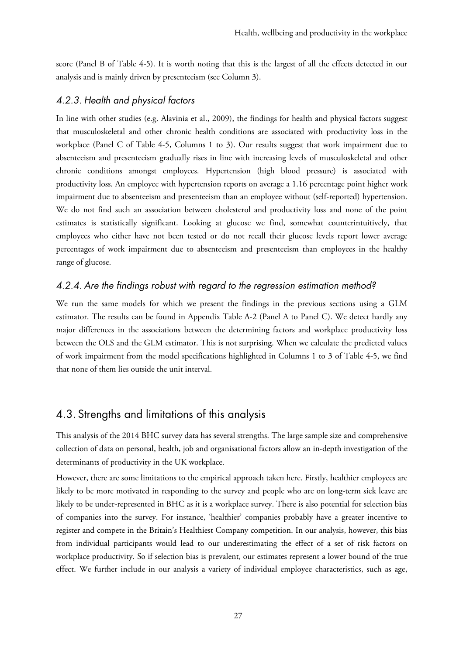score (Panel B of Table 4-5). It is worth noting that this is the largest of all the effects detected in our analysis and is mainly driven by presenteeism (see Column 3).

### 4.2.3. Health and physical factors

In line with other studies (e.g. Alavinia et al., 2009), the findings for health and physical factors suggest that musculoskeletal and other chronic health conditions are associated with productivity loss in the workplace (Panel C of Table 4-5, Columns 1 to 3). Our results suggest that work impairment due to absenteeism and presenteeism gradually rises in line with increasing levels of musculoskeletal and other chronic conditions amongst employees. Hypertension (high blood pressure) is associated with productivity loss. An employee with hypertension reports on average a 1.16 percentage point higher work impairment due to absenteeism and presenteeism than an employee without (self-reported) hypertension. We do not find such an association between cholesterol and productivity loss and none of the point estimates is statistically significant. Looking at glucose we find, somewhat counterintuitively, that employees who either have not been tested or do not recall their glucose levels report lower average percentages of work impairment due to absenteeism and presenteeism than employees in the healthy range of glucose.

### 4.2.4. Are the findings robust with regard to the regression estimation method?

We run the same models for which we present the findings in the previous sections using a GLM estimator. The results can be found in Appendix Table A-2 (Panel A to Panel C). We detect hardly any major differences in the associations between the determining factors and workplace productivity loss between the OLS and the GLM estimator. This is not surprising. When we calculate the predicted values of work impairment from the model specifications highlighted in Columns 1 to 3 of Table 4-5, we find that none of them lies outside the unit interval.

# 4.3. Strengths and limitations of this analysis

This analysis of the 2014 BHC survey data has several strengths. The large sample size and comprehensive collection of data on personal, health, job and organisational factors allow an in-depth investigation of the determinants of productivity in the UK workplace.

However, there are some limitations to the empirical approach taken here. Firstly, healthier employees are likely to be more motivated in responding to the survey and people who are on long-term sick leave are likely to be under-represented in BHC as it is a workplace survey. There is also potential for selection bias of companies into the survey. For instance, 'healthier' companies probably have a greater incentive to register and compete in the Britain's Healthiest Company competition. In our analysis, however, this bias from individual participants would lead to our underestimating the effect of a set of risk factors on workplace productivity. So if selection bias is prevalent, our estimates represent a lower bound of the true effect. We further include in our analysis a variety of individual employee characteristics, such as age,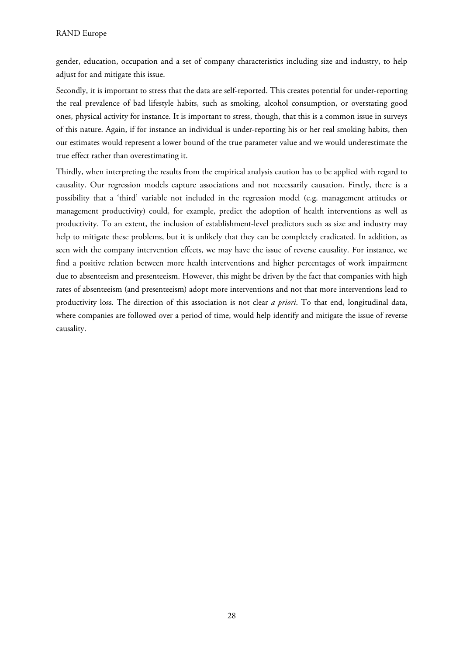gender, education, occupation and a set of company characteristics including size and industry, to help adjust for and mitigate this issue.

Secondly, it is important to stress that the data are self-reported. This creates potential for under-reporting the real prevalence of bad lifestyle habits, such as smoking, alcohol consumption, or overstating good ones, physical activity for instance. It is important to stress, though, that this is a common issue in surveys of this nature. Again, if for instance an individual is under-reporting his or her real smoking habits, then our estimates would represent a lower bound of the true parameter value and we would underestimate the true effect rather than overestimating it.

Thirdly, when interpreting the results from the empirical analysis caution has to be applied with regard to causality. Our regression models capture associations and not necessarily causation. Firstly, there is a possibility that a 'third' variable not included in the regression model (e.g. management attitudes or management productivity) could, for example, predict the adoption of health interventions as well as productivity. To an extent, the inclusion of establishment-level predictors such as size and industry may help to mitigate these problems, but it is unlikely that they can be completely eradicated. In addition, as seen with the company intervention effects, we may have the issue of reverse causality. For instance, we find a positive relation between more health interventions and higher percentages of work impairment due to absenteeism and presenteeism. However, this might be driven by the fact that companies with high rates of absenteeism (and presenteeism) adopt more interventions and not that more interventions lead to productivity loss. The direction of this association is not clear *a priori*. To that end, longitudinal data, where companies are followed over a period of time, would help identify and mitigate the issue of reverse causality.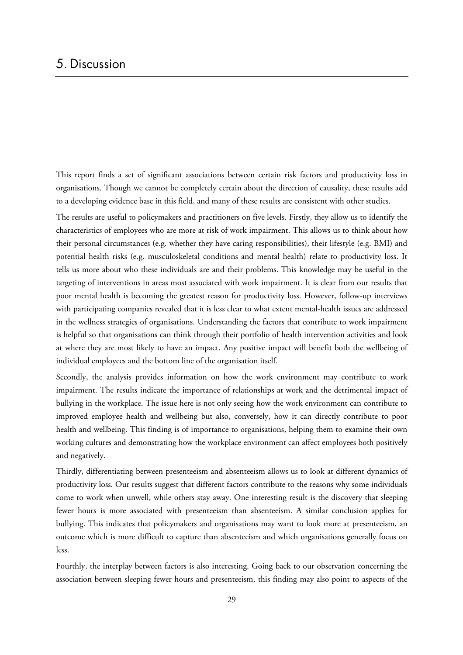This report finds a set of significant associations between certain risk factors and productivity loss in organisations. Though we cannot be completely certain about the direction of causality, these results add to a developing evidence base in this field, and many of these results are consistent with other studies.

The results are useful to policymakers and practitioners on five levels. Firstly, they allow us to identify the characteristics of employees who are more at risk of work impairment. This allows us to think about how their personal circumstances (e.g. whether they have caring responsibilities), their lifestyle (e.g. BMI) and potential health risks (e.g. musculoskeletal conditions and mental health) relate to productivity loss. It tells us more about who these individuals are and their problems. This knowledge may be useful in the targeting of interventions in areas most associated with work impairment. It is clear from our results that poor mental health is becoming the greatest reason for productivity loss. However, follow-up interviews with participating companies revealed that it is less clear to what extent mental-health issues are addressed in the wellness strategies of organisations. Understanding the factors that contribute to work impairment is helpful so that organisations can think through their portfolio of health intervention activities and look at where they are most likely to have an impact. Any positive impact will benefit both the wellbeing of individual employees and the bottom line of the organisation itself.

Secondly, the analysis provides information on how the work environment may contribute to work impairment. The results indicate the importance of relationships at work and the detrimental impact of bullying in the workplace. The issue here is not only seeing how the work environment can contribute to improved employee health and wellbeing but also, conversely, how it can directly contribute to poor health and wellbeing. This finding is of importance to organisations, helping them to examine their own working cultures and demonstrating how the workplace environment can affect employees both positively and negatively.

Thirdly, differentiating between presenteeism and absenteeism allows us to look at different dynamics of productivity loss. Our results suggest that different factors contribute to the reasons why some individuals come to work when unwell, while others stay away. One interesting result is the discovery that sleeping fewer hours is more associated with presenteeism than absenteeism. A similar conclusion applies for bullying. This indicates that policymakers and organisations may want to look more at presenteeism, an outcome which is more difficult to capture than absenteeism and which organisations generally focus on less.

Fourthly, the interplay between factors is also interesting. Going back to our observation concerning the association between sleeping fewer hours and presenteeism, this finding may also point to aspects of the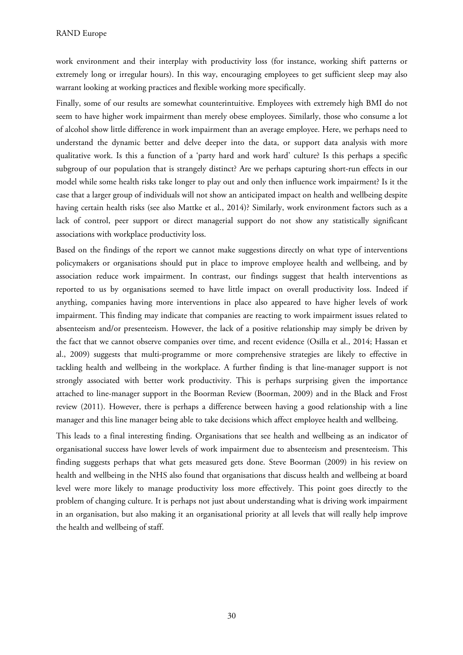work environment and their interplay with productivity loss (for instance, working shift patterns or extremely long or irregular hours). In this way, encouraging employees to get sufficient sleep may also warrant looking at working practices and flexible working more specifically.

Finally, some of our results are somewhat counterintuitive. Employees with extremely high BMI do not seem to have higher work impairment than merely obese employees. Similarly, those who consume a lot of alcohol show little difference in work impairment than an average employee. Here, we perhaps need to understand the dynamic better and delve deeper into the data, or support data analysis with more qualitative work. Is this a function of a 'party hard and work hard' culture? Is this perhaps a specific subgroup of our population that is strangely distinct? Are we perhaps capturing short-run effects in our model while some health risks take longer to play out and only then influence work impairment? Is it the case that a larger group of individuals will not show an anticipated impact on health and wellbeing despite having certain health risks (see also Mattke et al., 2014)? Similarly, work environment factors such as a lack of control, peer support or direct managerial support do not show any statistically significant associations with workplace productivity loss.

Based on the findings of the report we cannot make suggestions directly on what type of interventions policymakers or organisations should put in place to improve employee health and wellbeing, and by association reduce work impairment. In contrast, our findings suggest that health interventions as reported to us by organisations seemed to have little impact on overall productivity loss. Indeed if anything, companies having more interventions in place also appeared to have higher levels of work impairment. This finding may indicate that companies are reacting to work impairment issues related to absenteeism and/or presenteeism. However, the lack of a positive relationship may simply be driven by the fact that we cannot observe companies over time, and recent evidence (Osilla et al., 2014; Hassan et al., 2009) suggests that multi-programme or more comprehensive strategies are likely to effective in tackling health and wellbeing in the workplace. A further finding is that line-manager support is not strongly associated with better work productivity. This is perhaps surprising given the importance attached to line-manager support in the Boorman Review (Boorman, 2009) and in the Black and Frost review (2011). However, there is perhaps a difference between having a good relationship with a line manager and this line manager being able to take decisions which affect employee health and wellbeing.

This leads to a final interesting finding. Organisations that see health and wellbeing as an indicator of organisational success have lower levels of work impairment due to absenteeism and presenteeism. This finding suggests perhaps that what gets measured gets done. Steve Boorman (2009) in his review on health and wellbeing in the NHS also found that organisations that discuss health and wellbeing at board level were more likely to manage productivity loss more effectively. This point goes directly to the problem of changing culture. It is perhaps not just about understanding what is driving work impairment in an organisation, but also making it an organisational priority at all levels that will really help improve the health and wellbeing of staff.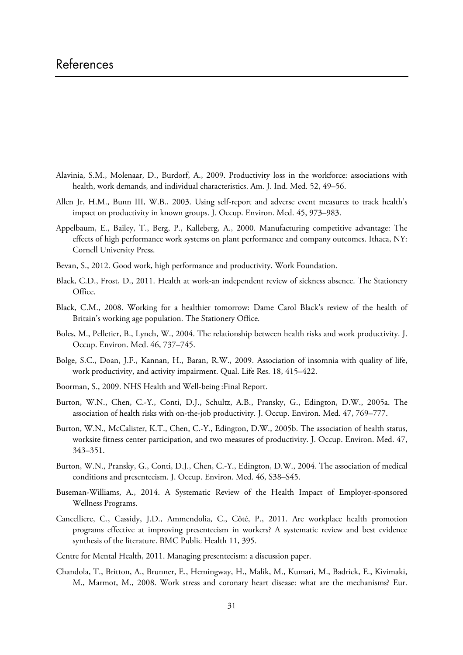- Alavinia, S.M., Molenaar, D., Burdorf, A., 2009. Productivity loss in the workforce: associations with health, work demands, and individual characteristics. Am. J. Ind. Med. 52, 49–56.
- Allen Jr, H.M., Bunn III, W.B., 2003. Using self-report and adverse event measures to track health's impact on productivity in known groups. J. Occup. Environ. Med. 45, 973–983.
- Appelbaum, E., Bailey, T., Berg, P., Kalleberg, A., 2000. Manufacturing competitive advantage: The effects of high performance work systems on plant performance and company outcomes. Ithaca, NY: Cornell University Press.
- Bevan, S., 2012. Good work, high performance and productivity. Work Foundation.
- Black, C.D., Frost, D., 2011. Health at work-an independent review of sickness absence. The Stationery Office.
- Black, C.M., 2008. Working for a healthier tomorrow: Dame Carol Black's review of the health of Britain's working age population. The Stationery Office.
- Boles, M., Pelletier, B., Lynch, W., 2004. The relationship between health risks and work productivity. J. Occup. Environ. Med. 46, 737–745.
- Bolge, S.C., Doan, J.F., Kannan, H., Baran, R.W., 2009. Association of insomnia with quality of life, work productivity, and activity impairment. Qual. Life Res. 18, 415–422.
- Boorman, S., 2009. NHS Health and Well-being :Final Report.
- Burton, W.N., Chen, C.-Y., Conti, D.J., Schultz, A.B., Pransky, G., Edington, D.W., 2005a. The association of health risks with on-the-job productivity. J. Occup. Environ. Med. 47, 769–777.
- Burton, W.N., McCalister, K.T., Chen, C.-Y., Edington, D.W., 2005b. The association of health status, worksite fitness center participation, and two measures of productivity. J. Occup. Environ. Med. 47, 343–351.
- Burton, W.N., Pransky, G., Conti, D.J., Chen, C.-Y., Edington, D.W., 2004. The association of medical conditions and presenteeism. J. Occup. Environ. Med. 46, S38–S45.
- Buseman-Williams, A., 2014. A Systematic Review of the Health Impact of Employer-sponsored Wellness Programs.
- Cancelliere, C., Cassidy, J.D., Ammendolia, C., Côté, P., 2011. Are workplace health promotion programs effective at improving presenteeism in workers? A systematic review and best evidence synthesis of the literature. BMC Public Health 11, 395.
- Centre for Mental Health, 2011. Managing presenteeism: a discussion paper.
- Chandola, T., Britton, A., Brunner, E., Hemingway, H., Malik, M., Kumari, M., Badrick, E., Kivimaki, M., Marmot, M., 2008. Work stress and coronary heart disease: what are the mechanisms? Eur.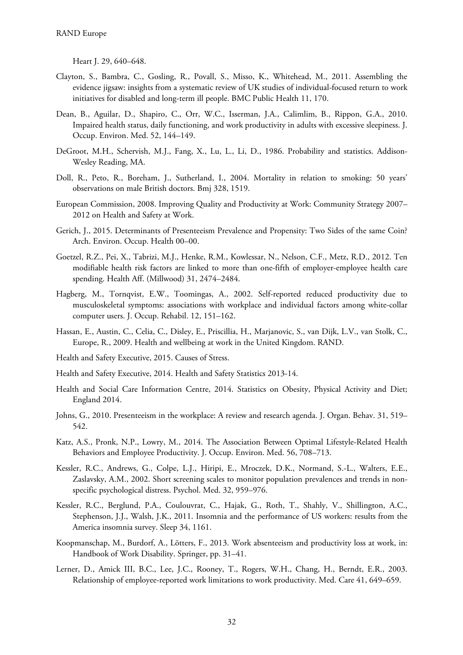Heart J. 29, 640–648.

- Clayton, S., Bambra, C., Gosling, R., Povall, S., Misso, K., Whitehead, M., 2011. Assembling the evidence jigsaw: insights from a systematic review of UK studies of individual-focused return to work initiatives for disabled and long-term ill people. BMC Public Health 11, 170.
- Dean, B., Aguilar, D., Shapiro, C., Orr, W.C., Isserman, J.A., Calimlim, B., Rippon, G.A., 2010. Impaired health status, daily functioning, and work productivity in adults with excessive sleepiness. J. Occup. Environ. Med. 52, 144–149.
- DeGroot, M.H., Schervish, M.J., Fang, X., Lu, L., Li, D., 1986. Probability and statistics. Addison-Wesley Reading, MA.
- Doll, R., Peto, R., Boreham, J., Sutherland, I., 2004. Mortality in relation to smoking: 50 years' observations on male British doctors. Bmj 328, 1519.
- European Commission, 2008. Improving Quality and Productivity at Work: Community Strategy 2007– 2012 on Health and Safety at Work.
- Gerich, J., 2015. Determinants of Presenteeism Prevalence and Propensity: Two Sides of the same Coin? Arch. Environ. Occup. Health 00–00.
- Goetzel, R.Z., Pei, X., Tabrizi, M.J., Henke, R.M., Kowlessar, N., Nelson, C.F., Metz, R.D., 2012. Ten modifiable health risk factors are linked to more than one-fifth of employer-employee health care spending. Health Aff. (Millwood) 31, 2474–2484.
- Hagberg, M., Tornqvist, E.W., Toomingas, A., 2002. Self-reported reduced productivity due to musculoskeletal symptoms: associations with workplace and individual factors among white-collar computer users. J. Occup. Rehabil. 12, 151–162.
- Hassan, E., Austin, C., Celia, C., Disley, E., Priscillia, H., Marjanovic, S., van Dijk, L.V., van Stolk, C., Europe, R., 2009. Health and wellbeing at work in the United Kingdom. RAND.
- Health and Safety Executive, 2015. Causes of Stress.
- Health and Safety Executive, 2014. Health and Safety Statistics 2013-14.
- Health and Social Care Information Centre, 2014. Statistics on Obesity, Physical Activity and Diet; England 2014.
- Johns, G., 2010. Presenteeism in the workplace: A review and research agenda. J. Organ. Behav. 31, 519– 542.
- Katz, A.S., Pronk, N.P., Lowry, M., 2014. The Association Between Optimal Lifestyle-Related Health Behaviors and Employee Productivity. J. Occup. Environ. Med. 56, 708–713.
- Kessler, R.C., Andrews, G., Colpe, L.J., Hiripi, E., Mroczek, D.K., Normand, S.-L., Walters, E.E., Zaslavsky, A.M., 2002. Short screening scales to monitor population prevalences and trends in nonspecific psychological distress. Psychol. Med. 32, 959–976.
- Kessler, R.C., Berglund, P.A., Coulouvrat, C., Hajak, G., Roth, T., Shahly, V., Shillington, A.C., Stephenson, J.J., Walsh, J.K., 2011. Insomnia and the performance of US workers: results from the America insomnia survey. Sleep 34, 1161.
- Koopmanschap, M., Burdorf, A., Lötters, F., 2013. Work absenteeism and productivity loss at work, in: Handbook of Work Disability. Springer, pp. 31–41.
- Lerner, D., Amick III, B.C., Lee, J.C., Rooney, T., Rogers, W.H., Chang, H., Berndt, E.R., 2003. Relationship of employee-reported work limitations to work productivity. Med. Care 41, 649–659.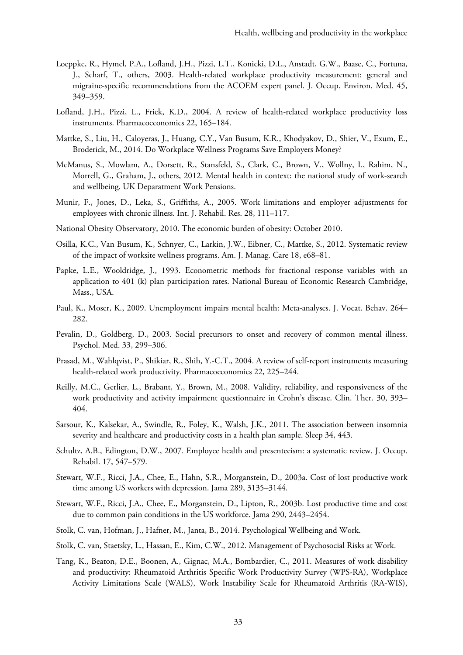- Loeppke, R., Hymel, P.A., Lofland, J.H., Pizzi, L.T., Konicki, D.L., Anstadt, G.W., Baase, C., Fortuna, J., Scharf, T., others, 2003. Health-related workplace productivity measurement: general and migraine-specific recommendations from the ACOEM expert panel. J. Occup. Environ. Med. 45, 349–359.
- Lofland, J.H., Pizzi, L., Frick, K.D., 2004. A review of health-related workplace productivity loss instruments. Pharmacoeconomics 22, 165–184.
- Mattke, S., Liu, H., Caloyeras, J., Huang, C.Y., Van Busum, K.R., Khodyakov, D., Shier, V., Exum, E., Broderick, M., 2014. Do Workplace Wellness Programs Save Employers Money?
- McManus, S., Mowlam, A., Dorsett, R., Stansfeld, S., Clark, C., Brown, V., Wollny, I., Rahim, N., Morrell, G., Graham, J., others, 2012. Mental health in context: the national study of work-search and wellbeing. UK Deparatment Work Pensions.
- Munir, F., Jones, D., Leka, S., Griffiths, A., 2005. Work limitations and employer adjustments for employees with chronic illness. Int. J. Rehabil. Res. 28, 111–117.
- National Obesity Observatory, 2010. The economic burden of obesity: October 2010.
- Osilla, K.C., Van Busum, K., Schnyer, C., Larkin, J.W., Eibner, C., Mattke, S., 2012. Systematic review of the impact of worksite wellness programs. Am. J. Manag. Care 18, e68–81.
- Papke, L.E., Wooldridge, J., 1993. Econometric methods for fractional response variables with an application to 401 (k) plan participation rates. National Bureau of Economic Research Cambridge, Mass., USA.
- Paul, K., Moser, K., 2009. Unemployment impairs mental health: Meta-analyses. J. Vocat. Behav. 264– 282.
- Pevalin, D., Goldberg, D., 2003. Social precursors to onset and recovery of common mental illness. Psychol. Med. 33, 299–306.
- Prasad, M., Wahlqvist, P., Shikiar, R., Shih, Y.-C.T., 2004. A review of self-report instruments measuring health-related work productivity. Pharmacoeconomics 22, 225–244.
- Reilly, M.C., Gerlier, L., Brabant, Y., Brown, M., 2008. Validity, reliability, and responsiveness of the work productivity and activity impairment questionnaire in Crohn's disease. Clin. Ther. 30, 393– 404.
- Sarsour, K., Kalsekar, A., Swindle, R., Foley, K., Walsh, J.K., 2011. The association between insomnia severity and healthcare and productivity costs in a health plan sample. Sleep 34, 443.
- Schultz, A.B., Edington, D.W., 2007. Employee health and presenteeism: a systematic review. J. Occup. Rehabil. 17, 547–579.
- Stewart, W.F., Ricci, J.A., Chee, E., Hahn, S.R., Morganstein, D., 2003a. Cost of lost productive work time among US workers with depression. Jama 289, 3135–3144.
- Stewart, W.F., Ricci, J.A., Chee, E., Morganstein, D., Lipton, R., 2003b. Lost productive time and cost due to common pain conditions in the US workforce. Jama 290, 2443–2454.
- Stolk, C. van, Hofman, J., Hafner, M., Janta, B., 2014. Psychological Wellbeing and Work.
- Stolk, C. van, Staetsky, L., Hassan, E., Kim, C.W., 2012. Management of Psychosocial Risks at Work.
- Tang, K., Beaton, D.E., Boonen, A., Gignac, M.A., Bombardier, C., 2011. Measures of work disability and productivity: Rheumatoid Arthritis Specific Work Productivity Survey (WPS-RA), Workplace Activity Limitations Scale (WALS), Work Instability Scale for Rheumatoid Arthritis (RA-WIS),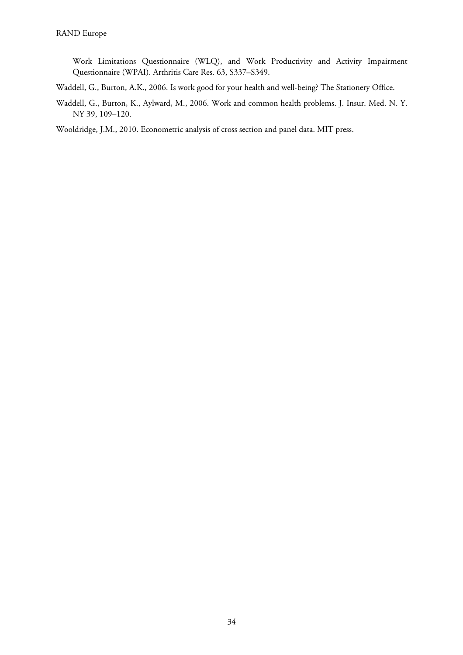Work Limitations Questionnaire (WLQ), and Work Productivity and Activity Impairment Questionnaire (WPAI). Arthritis Care Res. 63, S337–S349.

- Waddell, G., Burton, A.K., 2006. Is work good for your health and well-being? The Stationery Office.
- Waddell, G., Burton, K., Aylward, M., 2006. Work and common health problems. J. Insur. Med. N. Y. NY 39, 109–120.

Wooldridge, J.M., 2010. Econometric analysis of cross section and panel data. MIT press.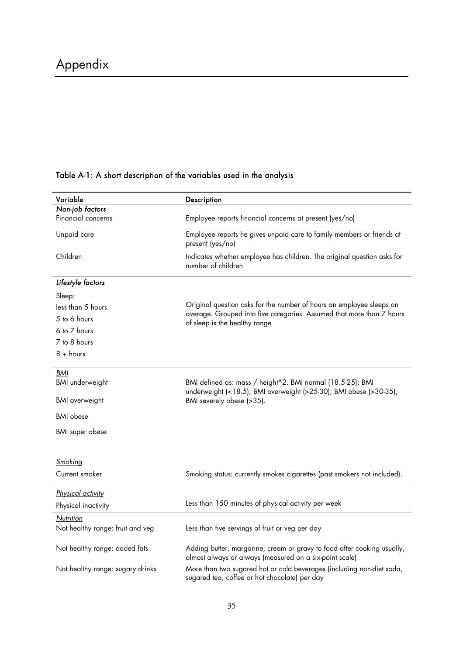| Variable                         | Description                                                                                                                                   |  |
|----------------------------------|-----------------------------------------------------------------------------------------------------------------------------------------------|--|
| Non-job factors                  |                                                                                                                                               |  |
| Financial concerns               | Employee reports financial concerns at present (yes/no)                                                                                       |  |
| Unpaid care                      | Employee reports he gives unpaid care to family members or friends at<br>present (yes/no)                                                     |  |
| Children                         | Indicates whether employee has children. The original question asks for<br>number of children.                                                |  |
| Lifestyle factors                |                                                                                                                                               |  |
| Sleep:                           |                                                                                                                                               |  |
| less than 5 hours                | Original question asks for the number of hours an employee sleeps on<br>average. Grouped into five categories. Assumed that more than 7 hours |  |
| 5 to 6 hours                     |                                                                                                                                               |  |
| 6 to 7 hours                     | of sleep is the healthy range                                                                                                                 |  |
| 7 to 8 hours                     |                                                                                                                                               |  |
| $8 + hours$                      |                                                                                                                                               |  |
|                                  |                                                                                                                                               |  |
| <b>BMI</b>                       |                                                                                                                                               |  |
| <b>BMI</b> underweight           | BMI defined as: mass / height^2. BMI normal (18.5-25); BMI<br>underweight (<18.5); BMI overweight (>25-30); BMI obese (>30-35);               |  |
| <b>BMI</b> overweight            | BMI severely obese (>35).                                                                                                                     |  |
| <b>BMI</b> obese                 |                                                                                                                                               |  |
|                                  |                                                                                                                                               |  |
| <b>BMI</b> super obese           |                                                                                                                                               |  |
|                                  |                                                                                                                                               |  |
| Smoking                          |                                                                                                                                               |  |
| Current smoker                   | Smoking status: currently smokes cigarettes (past smokers not included).                                                                      |  |
|                                  |                                                                                                                                               |  |
| Physical activity                |                                                                                                                                               |  |
| Physical inactivity              | Less than 150 minutes of physical activity per week                                                                                           |  |
| Nutrition                        |                                                                                                                                               |  |
| Not healthy range: fruit and veg | Less than five servings of fruit or veg per day                                                                                               |  |
| Not healthy range: added fats    | Adding butter, margarine, cream or gravy to food after cooking usually,<br>almost always or always (measured on a six-point scale)            |  |
| Not healthy range: sugary drinks | More than two sugared hot or cold beverages (including non-diet soda,<br>sugared tea, coffee or hot chocolate) per day                        |  |

# Table A-1: A short description of the variables used in the analysis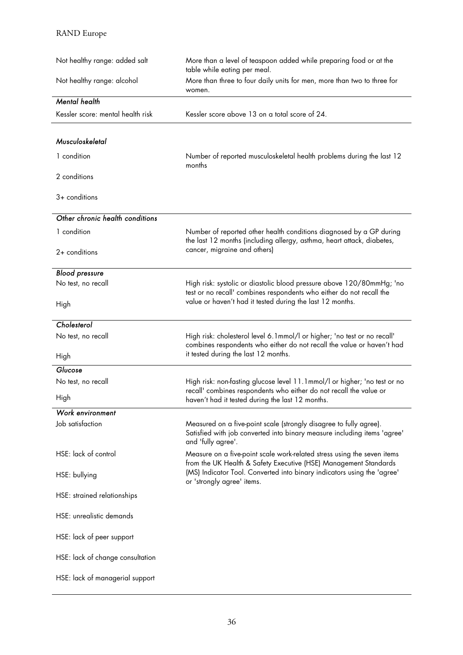| Not healthy range: added salt     | More than a level of teaspoon added while preparing food or at the<br>table while eating per meal.                                                                   |  |
|-----------------------------------|----------------------------------------------------------------------------------------------------------------------------------------------------------------------|--|
| Not healthy range: alcohol        | More than three to four daily units for men, more than two to three for<br>women.                                                                                    |  |
| <b>Mental health</b>              |                                                                                                                                                                      |  |
| Kessler score: mental health risk | Kessler score above 13 on a total score of 24.                                                                                                                       |  |
| Musculoskeletal                   |                                                                                                                                                                      |  |
| 1 condition                       | Number of reported musculoskeletal health problems during the last 12<br>months                                                                                      |  |
| 2 conditions                      |                                                                                                                                                                      |  |
| $3+$ conditions                   |                                                                                                                                                                      |  |
| Other chronic health conditions   |                                                                                                                                                                      |  |
| 1 condition                       | Number of reported other health conditions diagnosed by a GP during<br>the last 12 months (including allergy, asthma, heart attack, diabetes,                        |  |
| $2+$ conditions                   | cancer, migraine and others)                                                                                                                                         |  |
| <b>Blood pressure</b>             |                                                                                                                                                                      |  |
| No test, no recall                | High risk: systolic or diastolic blood pressure above 120/80mmHg; 'no<br>test or no recall' combines respondents who either do not recall the                        |  |
| High                              | value or haven't had it tested during the last 12 months.                                                                                                            |  |
| Cholesterol                       |                                                                                                                                                                      |  |
| No test, no recall                | High risk: cholesterol level 6.1mmol/l or higher; 'no test or no recall'<br>combines respondents who either do not recall the value or haven't had                   |  |
| High                              | it tested during the last 12 months.                                                                                                                                 |  |
| Glucose                           |                                                                                                                                                                      |  |
| No test, no recall                | High risk: non-fasting glucose level 11.1mmol/l or higher; 'no test or no<br>recall' combines respondents who either do not recall the value or                      |  |
| High                              | haven't had it tested during the last 12 months.                                                                                                                     |  |
| Work environment                  |                                                                                                                                                                      |  |
| Job satisfaction                  | Measured on a five-point scale (strongly disagree to fully agree).<br>Satisfied with job converted into binary measure including items 'agree'<br>and 'fully agree'. |  |
| HSE: lack of control              | Measure on a five-point scale work-related stress using the seven items<br>from the UK Health & Safety Executive (HSE) Management Standards                          |  |
| HSE: bullying                     | (MS) Indicator Tool. Converted into binary indicators using the 'agree'<br>or 'strongly agree' items.                                                                |  |
| HSE: strained relationships       |                                                                                                                                                                      |  |
| HSE: unrealistic demands          |                                                                                                                                                                      |  |
| HSE: lack of peer support         |                                                                                                                                                                      |  |
| HSE: lack of change consultation  |                                                                                                                                                                      |  |
| HSE: lack of managerial support   |                                                                                                                                                                      |  |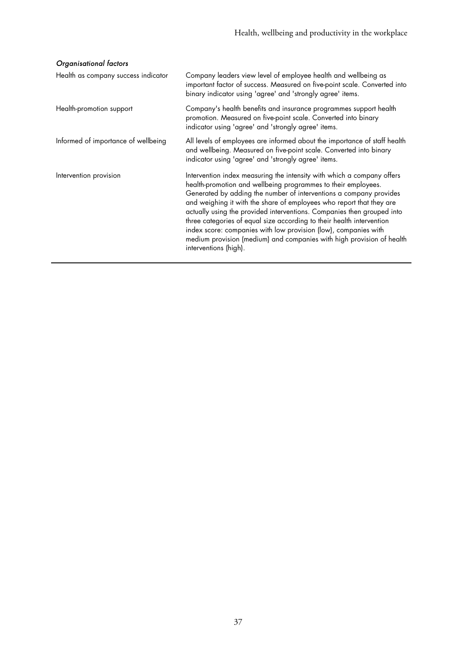### Organisational factors

| Health as company success indicator | Company leaders view level of employee health and wellbeing as<br>important factor of success. Measured on five-point scale. Converted into<br>binary indicator using 'agree' and 'strongly agree' items.                                                                                                                                                                                                                                                                                                                                                                                                     |
|-------------------------------------|---------------------------------------------------------------------------------------------------------------------------------------------------------------------------------------------------------------------------------------------------------------------------------------------------------------------------------------------------------------------------------------------------------------------------------------------------------------------------------------------------------------------------------------------------------------------------------------------------------------|
| Health-promotion support            | Company's health benefits and insurance programmes support health<br>promotion. Measured on five-point scale. Converted into binary<br>indicator using 'agree' and 'strongly agree' items.                                                                                                                                                                                                                                                                                                                                                                                                                    |
| Informed of importance of wellbeing | All levels of employees are informed about the importance of staff health<br>and wellbeing. Measured on five-point scale. Converted into binary<br>indicator using 'agree' and 'strongly agree' items.                                                                                                                                                                                                                                                                                                                                                                                                        |
| Intervention provision              | Intervention index measuring the intensity with which a company offers<br>health-promotion and wellbeing programmes to their employees.<br>Generated by adding the number of interventions a company provides<br>and weighing it with the share of employees who report that they are<br>actually using the provided interventions. Companies then grouped into<br>three categories of equal size according to their health intervention<br>index score: companies with low provision (low), companies with<br>medium provision (medium) and companies with high provision of health<br>interventions (high). |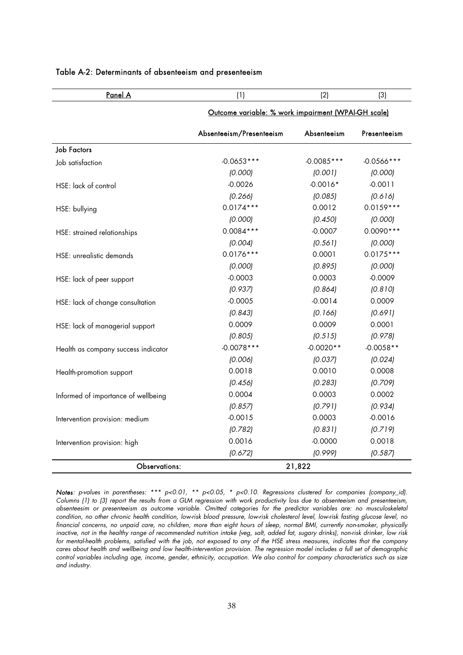| <u>Panel A</u>                      | (1)                                                 | (2)          | (3)           |
|-------------------------------------|-----------------------------------------------------|--------------|---------------|
|                                     | Outcome variable: % work impairment (WPAI-GH scale) |              |               |
|                                     | Absenteeism/Presenteeism                            | Absenteeism  | Presenteeism  |
| <b>Job Factors</b>                  |                                                     |              |               |
| Job satisfaction                    | $-0.0653***$                                        | $-0.0085***$ | $-0.0566$ *** |
|                                     | (0.000)                                             | (0.001)      | (0.000)       |
| HSE: lack of control                | $-0.0026$                                           | $-0.0016*$   | $-0.0011$     |
|                                     | (0.266)                                             | (0.085)      | (0.616)       |
| HSE: bullying                       | $0.0174***$                                         | 0.0012       | $0.0159***$   |
|                                     | (0.000)                                             | (0.450)      | (0.000)       |
| HSE: strained relationships         | $0.0084***$                                         | $-0.0007$    | $0.0090***$   |
|                                     | (0.004)                                             | (0.561)      | (0.000)       |
| HSE: unrealistic demands            | $0.0176***$                                         | 0.0001       | $0.0175***$   |
|                                     | (0.000)                                             | (0.895)      | (0.000)       |
| HSE: lack of peer support           | $-0.0003$                                           | 0.0003       | $-0.0009$     |
|                                     | (0.937)                                             | (0.864)      | (0.810)       |
| HSE: lack of change consultation    | $-0.0005$                                           | $-0.0014$    | 0.0009        |
|                                     | (0.843)                                             | [0.166]      | (0.691)       |
| HSE: lack of managerial support     | 0.0009                                              | 0.0009       | 0.0001        |
|                                     | (0.805)                                             | (0.515)      | (0.978)       |
| Health as company success indicator | $-0.0078***$                                        | $-0.0020**$  | $-0.0058**$   |
|                                     | (0.006)                                             | (0.037)      | (0.024)       |
| Health-promotion support            | 0.0018                                              | 0.0010       | 0.0008        |
|                                     | (0.456)                                             | (0.283)      | (0.709)       |
| Informed of importance of wellbeing | 0.0004                                              | 0.0003       | 0.0002        |
|                                     | (0.857)                                             | (0.791)      | (0.934)       |
| Intervention provision: medium      | $-0.0015$                                           | 0.0003       | $-0.0016$     |
|                                     | (0.782)                                             | (0.831)      | (0.719)       |
| Intervention provision: high        | 0.0016                                              | $-0.0000$    | 0.0018        |
|                                     | (0.672)                                             | (0.999)      | (0.587)       |
| <b>Observations:</b>                |                                                     | 21,822       |               |

#### Table A-2: Determinants of absenteeism and presenteeism

Notes: p-values in parentheses: \*\*\* p<0.01, \*\* p<0.05, \* p<0.10. Regressions clustered for companies (company\_id). Columns (1) to (3) report the results from a GLM regression with work productivity loss due to absenteeism and presenteeism, absenteesim or presenteeism as outcome variable. Omitted categories for the predictor variables are: no musculoskeletal condition, no other chronic health condition, low-risk blood pressure, low-risk cholesterol level, low-risk fasting glucose level, no financial concerns, no unpaid care, no children, more than eight hours of sleep, normal BMI, currently non-smoker, physically inactive, not in the healthy range of recommended nutrition intake (veg, salt, added fat, sugary drinks), non-risk drinker, low risk for mental-health problems, satisfied with the job, not exposed to any of the HSE stress measures, indicates that the company cares about health and wellbeing and low health-intervention provision. The regression model includes a full set of demographic control variables including age, income, gender, ethnicity, occupation. We also control for company characteristics such as size and industry.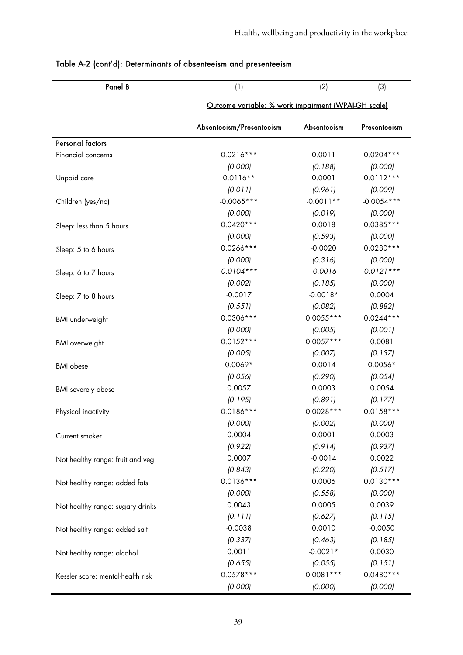| <u>Panel B</u>                    | (1)                                                 | (2)         | (3)          |
|-----------------------------------|-----------------------------------------------------|-------------|--------------|
|                                   | Outcome variable: % work impairment (WPAI-GH scale) |             |              |
|                                   | Absenteeism/Presenteeism                            | Absenteeism | Presenteeism |
| <b>Personal factors</b>           |                                                     |             |              |
| Financial concerns                | $0.0216***$                                         | 0.0011      | $0.0204***$  |
|                                   | (0.000)                                             | (0.188)     | (0.000)      |
| Unpaid care                       | $0.0116**$                                          | 0.0001      | $0.0112***$  |
|                                   | (0.011)                                             | (0.961)     | (0.009)      |
| Children (yes/no)                 | $-0.0065***$                                        | $-0.0011**$ | $-0.0054***$ |
|                                   | (0.000)                                             | (0.019)     | (0.000)      |
| Sleep: less than 5 hours          | $0.0420***$                                         | 0.0018      | $0.0385***$  |
|                                   | (0.000)                                             | (0.593)     | (0.000)      |
| Sleep: 5 to 6 hours               | $0.0266***$                                         | $-0.0020$   | $0.0280***$  |
|                                   | (0.000)                                             | (0.316)     | (0.000)      |
| Sleep: 6 to 7 hours               | $0.0104***$                                         | $-0.0016$   | $0.0121***$  |
|                                   | (0.002)                                             | (0.185)     | (0.000)      |
| Sleep: 7 to 8 hours               | $-0.0017$                                           | $-0.0018*$  | 0.0004       |
|                                   | (0.551)                                             | (0.082)     | (0.882)      |
| <b>BMI</b> underweight            | $0.0306***$                                         | $0.0055***$ | $0.0244***$  |
|                                   | (0.000)                                             | (0.005)     | (0.001)      |
| <b>BMI</b> overweight             | $0.0152***$                                         | $0.0057***$ | 0.0081       |
|                                   | (0.005)                                             | (0.007)     | (0.137)      |
| <b>BMI</b> obese                  | $0.0069*$                                           | 0.0014      | $0.0056*$    |
|                                   | (0.056)                                             | (0.290)     | (0.054)      |
| <b>BMI</b> severely obese         | 0.0057                                              | 0.0003      | 0.0054       |
|                                   | (0.195)                                             | (0.891)     | (0.177)      |
| Physical inactivity               | $0.0186***$                                         | $0.0028***$ | $0.0158***$  |
|                                   | (0.000)                                             | (0.002)     | (0.000)      |
| Current smoker                    | 0.0004                                              | 0.0001      | 0.0003       |
|                                   | (0.922)                                             | (0.914)     | (0.937)      |
| Not healthy range: fruit and veg  | 0.0007                                              | $-0.0014$   | 0.0022       |
|                                   | (0.843)                                             | (0.220)     | (0.517)      |
| Not healthy range: added fats     | $0.0136***$                                         | 0.0006      | $0.0130***$  |
|                                   | (0.000)                                             | (0.558)     | (0.000)      |
| Not healthy range: sugary drinks  | 0.0043                                              | 0.0005      | 0.0039       |
|                                   | (0.111)                                             | (0.627)     | (0.115)      |
| Not healthy range: added salt     | $-0.0038$                                           | 0.0010      | $-0.0050$    |
|                                   | (0.337)                                             | (0.463)     | (0.185)      |
| Not healthy range: alcohol        | 0.0011                                              | $-0.0021*$  | 0.0030       |
|                                   | (0.655)                                             | (0.055)     | (0.151)      |
| Kessler score: mental-health risk | $0.0578***$                                         | $0.0081***$ | $0.0480***$  |
|                                   | (0.000)                                             | (0.000)     | (0.000)      |

### Table A-2 (cont'd): Determinants of absenteeism and presenteeism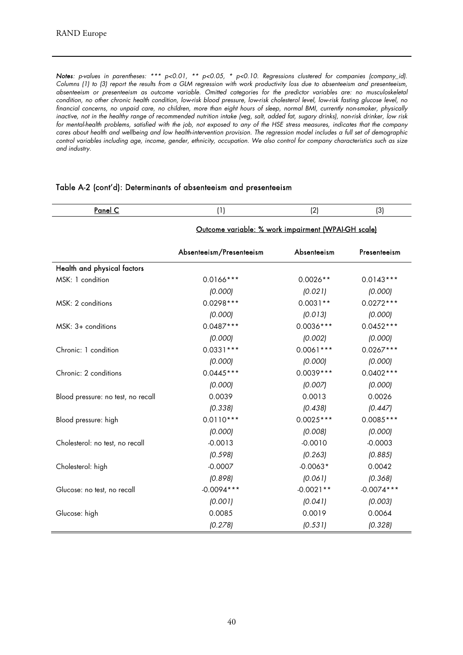Notes: p-values in parentheses: \*\*\* p<0.01, \*\* p<0.05, \* p<0.10. Regressions clustered for companies (company\_id). Columns (1) to (3) report the results from a GLM regression with work productivity loss due to absenteeism and presenteeism, absenteeism or presenteeism as outcome variable. Omitted categories for the predictor variables are: no musculoskeletal condition, no other chronic health condition, low-risk blood pressure, low-risk cholesterol level, low-risk fasting glucose level, no financial concerns, no unpaid care, no children, more than eight hours of sleep, normal BMI, currently non-smoker, physically inactive, not in the healthy range of recommended nutrition intake (veg, salt, added fat, sugary drinks), non-risk drinker, low risk for mental-health problems, satisfied with the job, not exposed to any of the HSE stress measures, indicates that the company cares about health and wellbeing and low health-intervention provision. The regression model includes a full set of demographic control variables including age, income, gender, ethnicity, occupation. We also control for company characteristics such as size and industry.

| Panel C                            | (1)                                                 | (2)         | (3)          |
|------------------------------------|-----------------------------------------------------|-------------|--------------|
|                                    | Outcome variable: % work impairment (WPAI-GH scale) |             |              |
|                                    | Absenteeism/Presenteeism                            | Absenteeism | Presenteeism |
| Health and physical factors        |                                                     |             |              |
| MSK: 1 condition                   | $0.0166***$                                         | $0.0026**$  | $0.0143***$  |
|                                    | (0.000)                                             | (0.021)     | (0.000)      |
| MSK: 2 conditions                  | $0.0298***$                                         | $0.0031**$  | $0.0272***$  |
|                                    | (0.000)                                             | (0.013)     | (0.000)      |
| $MSK: 3+ conditions$               | $0.0487***$                                         | $0.0036***$ | $0.0452***$  |
|                                    | (0.000)                                             | (0.002)     | (0.000)      |
| Chronic: 1 condition               | $0.0331***$                                         | $0.0061***$ | $0.0267***$  |
|                                    | (0.000)                                             | (0.000)     | (0.000)      |
| Chronic: 2 conditions              | $0.0445***$                                         | $0.0039***$ | $0.0402***$  |
|                                    | (0.000)                                             | (0.007)     | (0.000)      |
| Blood pressure: no test, no recall | 0.0039                                              | 0.0013      | 0.0026       |
|                                    | (0.338)                                             | (0.438)     | (0.447)      |
| Blood pressure: high               | $0.0110***$                                         | $0.0025***$ | $0.0085***$  |
|                                    | (0.000)                                             | (0.008)     | (0.000)      |
| Cholesterol: no test, no recall    | $-0.0013$                                           | $-0.0010$   | $-0.0003$    |
|                                    | (0.598)                                             | (0.263)     | (0.885)      |
| Cholesterol: high                  | $-0.0007$                                           | $-0.0063*$  | 0.0042       |
|                                    | (0.898)                                             | (0.061)     | (0.368)      |
| Glucose: no test, no recall        | $-0.0094***$                                        | $-0.0021**$ | $-0.0074***$ |
|                                    | (0.001)                                             | (0.041)     | (0.003)      |
| Glucose: high                      | 0.0085                                              | 0.0019      | 0.0064       |
|                                    | (0.278)                                             | (0.531)     | (0.328)      |

#### Table A-2 (cont'd): Determinants of absenteeism and presenteeism